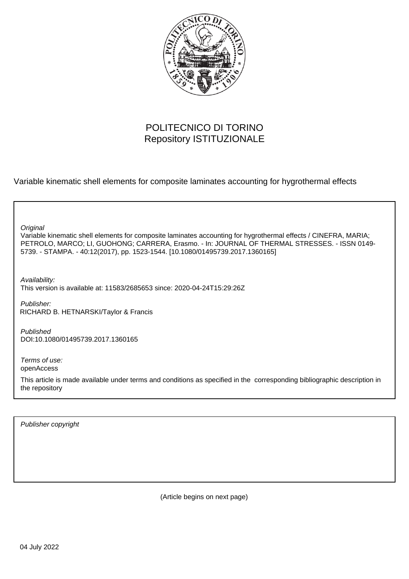

## POLITECNICO DI TORINO Repository ISTITUZIONALE

Variable kinematic shell elements for composite laminates accounting for hygrothermal effects

**Original** 

Variable kinematic shell elements for composite laminates accounting for hygrothermal effects / CINEFRA, MARIA; PETROLO, MARCO; LI, GUOHONG; CARRERA, Erasmo. - In: JOURNAL OF THERMAL STRESSES. - ISSN 0149- 5739. - STAMPA. - 40:12(2017), pp. 1523-1544. [10.1080/01495739.2017.1360165]

Availability: This version is available at: 11583/2685653 since: 2020-04-24T15:29:26Z

Publisher: RICHARD B. HETNARSKI/Taylor & Francis

Published DOI:10.1080/01495739.2017.1360165

Terms of use: openAccess

This article is made available under terms and conditions as specified in the corresponding bibliographic description in the repository

Publisher copyright

(Article begins on next page)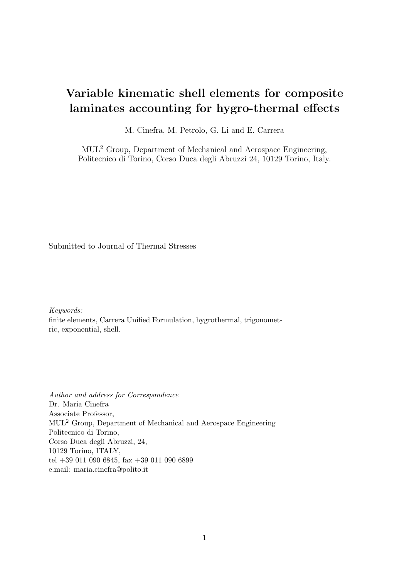## Variable kinematic shell elements for composite laminates accounting for hygro-thermal effects

M. Cinefra, M. Petrolo, G. Li and E. Carrera

MUL<sup>2</sup> Group, Department of Mechanical and Aerospace Engineering, Politecnico di Torino, Corso Duca degli Abruzzi 24, 10129 Torino, Italy.

Submitted to Journal of Thermal Stresses

Keywords: finite elements, Carrera Unified Formulation, hygrothermal, trigonometric, exponential, shell.

Author and address for Correspondence Dr. Maria Cinefra Associate Professor, MUL<sup>2</sup> Group, Department of Mechanical and Aerospace Engineering Politecnico di Torino, Corso Duca degli Abruzzi, 24, 10129 Torino, ITALY, tel +39 011 090 6845, fax +39 011 090 6899 e.mail: maria.cinefra@polito.it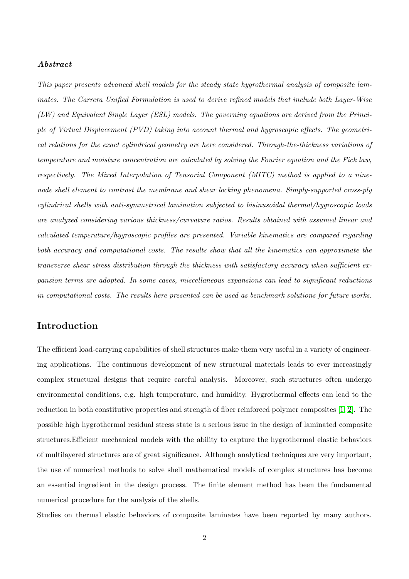#### Abstract

This paper presents advanced shell models for the steady state hygrothermal analysis of composite laminates. The Carrera Unified Formulation is used to derive refined models that include both Layer-Wise (LW) and Equivalent Single Layer (ESL) models. The governing equations are derived from the Principle of Virtual Displacement (PVD) taking into account thermal and hygroscopic effects. The geometrical relations for the exact cylindrical geometry are here considered. Through-the-thickness variations of temperature and moisture concentration are calculated by solving the Fourier equation and the Fick law, respectively. The Mixed Interpolation of Tensorial Component (MITC) method is applied to a ninenode shell element to contrast the membrane and shear locking phenomena. Simply-supported cross-ply cylindrical shells with anti-symmetrical lamination subjected to bisinusoidal thermal/hygroscopic loads are analyzed considering various thickness/curvature ratios. Results obtained with assumed linear and calculated temperature/hygroscopic profiles are presented. Variable kinematics are compared regarding both accuracy and computational costs. The results show that all the kinematics can approximate the transverse shear stress distribution through the thickness with satisfactory accuracy when sufficient expansion terms are adopted. In some cases, miscellaneous expansions can lead to significant reductions in computational costs. The results here presented can be used as benchmark solutions for future works.

## Introduction

The efficient load-carrying capabilities of shell structures make them very useful in a variety of engineering applications. The continuous development of new structural materials leads to ever increasingly complex structural designs that require careful analysis. Moreover, such structures often undergo environmental conditions, e.g. high temperature, and humidity. Hygrothermal effects can lead to the reduction in both constitutive properties and strength of fiber reinforced polymer composites [1, 2]. The possible high hygrothermal residual stress state is a serious issue in the design of laminated composite structures.Efficient mechanical models with the ability to capture the hygrothermal elastic behaviors of multilayered structures are of great significance. Although analytical techniques are very important, the use of numerical methods to solve shell mathematical models of complex structures has become an essential ingredient in the design process. The finite element method has been the fundamental numerical procedure for the analysis of the shells.

Studies on thermal elastic behaviors of composite laminates have been reported by many authors.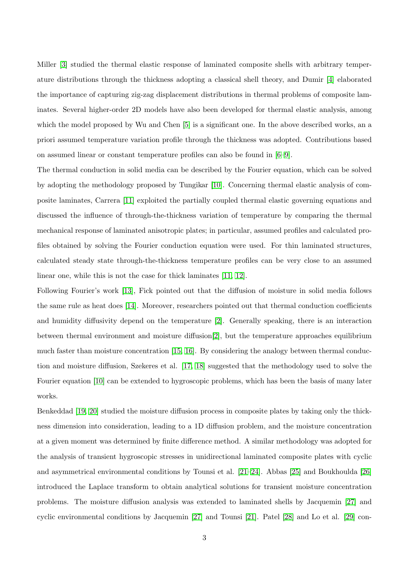Miller [3] studied the thermal elastic response of laminated composite shells with arbitrary temperature distributions through the thickness adopting a classical shell theory, and Dumir [4] elaborated the importance of capturing zig-zag displacement distributions in thermal problems of composite laminates. Several higher-order 2D models have also been developed for thermal elastic analysis, among which the model proposed by Wu and Chen [5] is a significant one. In the above described works, an a priori assumed temperature variation profile through the thickness was adopted. Contributions based on assumed linear or constant temperature profiles can also be found in [6–9].

The thermal conduction in solid media can be described by the Fourier equation, which can be solved by adopting the methodology proposed by Tungikar [10]. Concerning thermal elastic analysis of composite laminates, Carrera [11] exploited the partially coupled thermal elastic governing equations and discussed the influence of through-the-thickness variation of temperature by comparing the thermal mechanical response of laminated anisotropic plates; in particular, assumed profiles and calculated profiles obtained by solving the Fourier conduction equation were used. For thin laminated structures, calculated steady state through-the-thickness temperature profiles can be very close to an assumed linear one, while this is not the case for thick laminates [11, 12].

Following Fourier's work [13], Fick pointed out that the diffusion of moisture in solid media follows the same rule as heat does [14]. Moreover, researchers pointed out that thermal conduction coefficients and humidity diffusivity depend on the temperature [2]. Generally speaking, there is an interaction between thermal environment and moisture diffusion[2], but the temperature approaches equilibrium much faster than moisture concentration [15, 16]. By considering the analogy between thermal conduction and moisture diffusion, Szekeres et al. [17, 18] suggested that the methodology used to solve the Fourier equation [10] can be extended to hygroscopic problems, which has been the basis of many later works.

Benkeddad [19, 20] studied the moisture diffusion process in composite plates by taking only the thickness dimension into consideration, leading to a 1D diffusion problem, and the moisture concentration at a given moment was determined by finite difference method. A similar methodology was adopted for the analysis of transient hygroscopic stresses in unidirectional laminated composite plates with cyclic and asymmetrical environmental conditions by Tounsi et al. [21–24]. Abbas [25] and Boukhoulda [26] introduced the Laplace transform to obtain analytical solutions for transient moisture concentration problems. The moisture diffusion analysis was extended to laminated shells by Jacquemin [27] and cyclic environmental conditions by Jacquemin [27] and Tounsi [21]. Patel [28] and Lo et al. [29] con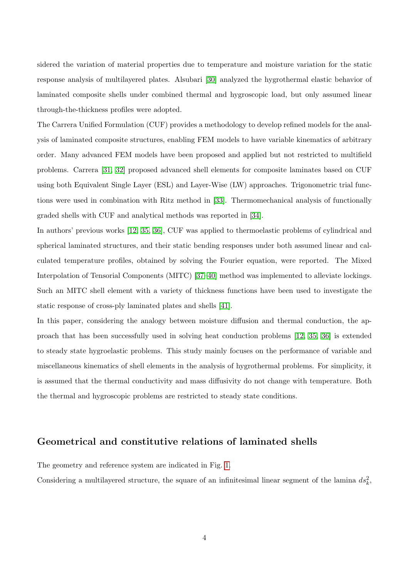sidered the variation of material properties due to temperature and moisture variation for the static response analysis of multilayered plates. Alsubari [30] analyzed the hygrothermal elastic behavior of laminated composite shells under combined thermal and hygroscopic load, but only assumed linear through-the-thickness profiles were adopted.

The Carrera Unified Formulation (CUF) provides a methodology to develop refined models for the analysis of laminated composite structures, enabling FEM models to have variable kinematics of arbitrary order. Many advanced FEM models have been proposed and applied but not restricted to multifield problems. Carrera [31, 32] proposed advanced shell elements for composite laminates based on CUF using both Equivalent Single Layer (ESL) and Layer-Wise (LW) approaches. Trigonometric trial functions were used in combination with Ritz method in [33]. Thermomechanical analysis of functionally graded shells with CUF and analytical methods was reported in [34].

In authors' previous works [12, 35, 36], CUF was applied to thermoelastic problems of cylindrical and spherical laminated structures, and their static bending responses under both assumed linear and calculated temperature profiles, obtained by solving the Fourier equation, were reported. The Mixed Interpolation of Tensorial Components (MITC) [37–40] method was implemented to alleviate lockings. Such an MITC shell element with a variety of thickness functions have been used to investigate the static response of cross-ply laminated plates and shells [41].

In this paper, considering the analogy between moisture diffusion and thermal conduction, the approach that has been successfully used in solving heat conduction problems [12, 35, 36] is extended to steady state hygroelastic problems. This study mainly focuses on the performance of variable and miscellaneous kinematics of shell elements in the analysis of hygrothermal problems. For simplicity, it is assumed that the thermal conductivity and mass diffusivity do not change with temperature. Both the thermal and hygroscopic problems are restricted to steady state conditions.

## Geometrical and constitutive relations of laminated shells

The geometry and reference system are indicated in Fig. 1.

Considering a multilayered structure, the square of an infinitesimal linear segment of the lamina  $ds_k^2$ ,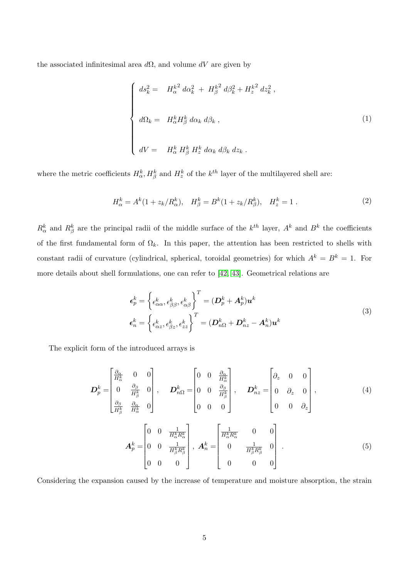the associated infinitesimal area  $d\Omega$ , and volume  $dV$  are given by

$$
\begin{cases}\n ds_k^2 = H_\alpha^{k^2} d\alpha_k^2 + H_\beta^{k^2} d\beta_k^2 + H_z^{k^2} dz_k^2 ,\nd\Omega_k = H_\alpha^k H_\beta^k d\alpha_k d\beta_k ,\ndV = H_\alpha^k H_\beta^k H_z^k d\alpha_k d\beta_k dz_k .\n\end{cases}
$$
\n(1)

where the metric coefficients  $H_{\alpha}^{k}$ ,  $H_{\beta}^{k}$  and  $H_{z}^{k}$  of the  $k^{th}$  layer of the multilayered shell are:

$$
H_{\alpha}^{k} = A^{k}(1 + z_{k}/R_{\alpha}^{k}), \quad H_{\beta}^{k} = B^{k}(1 + z_{k}/R_{\beta}^{k}), \quad H_{z}^{k} = 1.
$$
 (2)

 $R_{\alpha}^{k}$  and  $R_{\beta}^{k}$  are the principal radii of the middle surface of the  $k^{th}$  layer,  $A^{k}$  and  $B^{k}$  the coefficients of the first fundamental form of  $\Omega_k$ . In this paper, the attention has been restricted to shells with constant radii of curvature (cylindrical, spherical, toroidal geometries) for which  $A^k = B^k = 1$ . For more details about shell formulations, one can refer to [42, 43]. Geometrical relations are

$$
\epsilon_p^k = \left\{ \epsilon_{\alpha\alpha}^k, \epsilon_{\beta\beta}^k, \epsilon_{\alpha\beta}^k \right\}^T = (\mathbf{D}_p^k + \mathbf{A}_p^k) \mathbf{u}^k
$$
\n
$$
\epsilon_n^k = \left\{ \epsilon_{\alpha z}^k, \epsilon_{\beta z}^k, \epsilon_{zz}^k \right\}^T = (\mathbf{D}_{n\Omega}^k + \mathbf{D}_{nz}^k - \mathbf{A}_n^k) \mathbf{u}^k
$$
\n(3)

The explicit form of the introduced arrays is

$$
\mathbf{D}_{p}^{k} = \begin{bmatrix} \frac{\partial_{\alpha}}{H_{\alpha}^{k}} & 0 & 0 \\ 0 & \frac{\partial_{\beta}}{H_{\beta}^{k}} & 0 \\ \frac{\partial_{\beta}}{H_{\beta}^{k}} & \frac{\partial_{\alpha}}{H_{\alpha}^{k}} & 0 \end{bmatrix}, \quad \mathbf{D}_{n\Omega}^{k} = \begin{bmatrix} 0 & 0 & \frac{\partial_{\alpha}}{H_{\alpha}^{k}} \\ 0 & 0 & \frac{\partial_{\beta}}{H_{\beta}^{k}} \\ 0 & 0 & 0 \end{bmatrix}, \quad \mathbf{D}_{nz}^{k} = \begin{bmatrix} \partial_{z} & 0 & 0 \\ 0 & \partial_{z} & 0 \\ 0 & 0 & \partial_{z} \end{bmatrix},
$$
\n
$$
\mathbf{A}_{p}^{k} = \begin{bmatrix} 0 & 0 & \frac{1}{H_{\alpha}^{k} R_{\alpha}^{k}} \\ 0 & 0 & \frac{1}{H_{\alpha}^{k} R_{\alpha}^{k}} \\ 0 & 0 & \frac{1}{H_{\beta}^{k} R_{\beta}^{k}} \end{bmatrix}, \quad \mathbf{A}_{n}^{k} = \begin{bmatrix} \frac{1}{H_{\alpha}^{k} R_{\alpha}^{k}} & 0 & 0 \\ 0 & \frac{1}{H_{\beta}^{k} R_{\beta}^{k}} & 0 \\ 0 & \frac{1}{H_{\beta}^{k} R_{\beta}^{k}} & 0 \end{bmatrix}.
$$
\n(5)

0 0 0

Considering the expansion caused by the increase of temperature and moisture absorption, the strain

0 0 0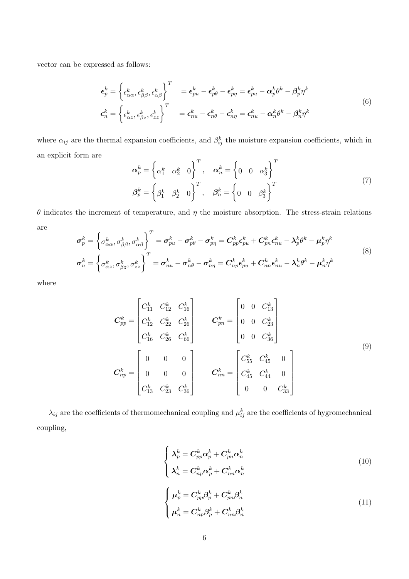vector can be expressed as follows:

$$
\epsilon_p^k = \left\{ \epsilon_{\alpha\alpha}^k, \epsilon_{\beta\beta}^k, \epsilon_{\alpha\beta}^k \right\}^T = \epsilon_{pu}^k - \epsilon_{p\theta}^k - \epsilon_{pn}^k = \epsilon_{pu}^k - \alpha_p^k \theta^k - \beta_p^k \eta^k
$$
\n
$$
\epsilon_n^k = \left\{ \epsilon_{\alpha z}^k, \epsilon_{\beta z}^k, \epsilon_{zz}^k \right\}^T = \epsilon_{nu}^k - \epsilon_{n\theta}^k - \epsilon_{n\eta}^k = \epsilon_{nu}^k - \alpha_n^k \theta^k - \beta_n^k \eta^k
$$
\n(6)

where  $\alpha_{ij}$  are the thermal expansion coefficients, and  $\beta_{ij}^k$  the moisture expansion coefficients, which in an explicit form are

$$
\boldsymbol{\alpha}_p^k = \begin{cases} \alpha_1^k & \alpha_2^k & 0 \end{cases}^T, \quad \boldsymbol{\alpha}_n^k = \begin{cases} 0 & 0 & \alpha_3^k \end{cases}^T
$$
  

$$
\boldsymbol{\beta}_p^k = \begin{cases} \beta_1^k & \beta_2^k & 0 \end{cases}^T, \quad \boldsymbol{\beta}_n^k = \begin{cases} 0 & 0 & \beta_3^k \end{cases}^T
$$
 (7)

θ indicates the increment of temperature, and η the moisture absorption. The stress-strain relations are

$$
\sigma_p^k = \left\{ \sigma_{\alpha\alpha}^k, \sigma_{\beta\beta}^k, \sigma_{\alpha\beta}^k \right\}^T = \sigma_{pu}^k - \sigma_{p\theta}^k - \sigma_{p\eta}^k = C_{pp}^k \epsilon_{pu}^k + C_{pn}^k \epsilon_{nu}^k - \lambda_p^k \theta^k - \mu_p^k \eta^k
$$
\n
$$
\sigma_n^k = \left\{ \sigma_{\alpha z}^k, \sigma_{\beta z}^k, \sigma_{zz}^k \right\}^T = \sigma_{nu}^k - \sigma_{n\theta}^k - \sigma_{n\eta}^k = C_{np}^k \epsilon_{pu}^k + C_{nn}^k \epsilon_{nu}^k - \lambda_n^k \theta^k - \mu_n^k \eta^k
$$
\n(8)

where

$$
\boldsymbol{C}_{pp}^{k} = \begin{bmatrix} C_{11}^{k} & C_{12}^{k} & C_{16}^{k} \\ C_{12}^{k} & C_{22}^{k} & C_{26}^{k} \\ C_{16}^{k} & C_{26}^{k} & C_{66}^{k} \end{bmatrix} \qquad \boldsymbol{C}_{pn}^{k} = \begin{bmatrix} 0 & 0 & C_{13}^{k} \\ 0 & 0 & C_{23}^{k} \\ 0 & 0 & C_{36}^{k} \end{bmatrix}
$$
\n
$$
\boldsymbol{C}_{np}^{k} = \begin{bmatrix} 0 & 0 & 0 \\ 0 & 0 & 0 \\ 0 & 0 & 0 \\ C_{13}^{k} & C_{23}^{k} & C_{36}^{k} \end{bmatrix} \qquad \boldsymbol{C}_{nn}^{k} = \begin{bmatrix} C_{55}^{k} & C_{45}^{k} & 0 \\ C_{45}^{k} & C_{44}^{k} & 0 \\ 0 & 0 & C_{33}^{k} \end{bmatrix}
$$
\n(9)

 $\lambda_{ij}$  are the coefficients of thermomechanical coupling and  $\mu_{ij}^k$  are the coefficients of hygromechanical coupling,

$$
\begin{cases}\n\lambda_p^k = C_{pp}^k \alpha_p^k + C_{pn}^k \alpha_n^k \\
\lambda_n^k = C_{np}^k \alpha_p^k + C_{nn}^k \alpha_n^k\n\end{cases}
$$
\n
$$
\begin{cases}\n\mu_p^k = C_{pp}^k \beta_p^k + C_{pn}^k \beta_n^k \\
\mu_n^k = C_{np}^k \beta_p^k + C_{nn}^k \beta_n^k\n\end{cases}
$$
\n(11)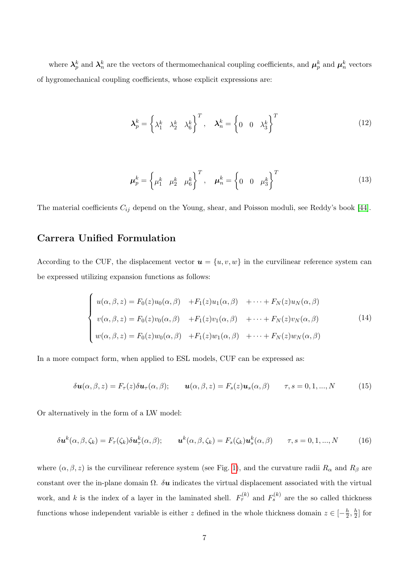where  $\lambda_p^k$  and  $\lambda_n^k$  are the vectors of thermomechanical coupling coefficients, and  $\mu_p^k$  and  $\mu_n^k$  vectors of hygromechanical coupling coefficients, whose explicit expressions are:

$$
\lambda_p^k = \left\{ \lambda_1^k \quad \lambda_2^k \quad \lambda_6^k \right\}^T, \quad \lambda_n^k = \left\{ 0 \quad 0 \quad \lambda_3^k \right\}^T \tag{12}
$$

$$
\mu_p^k = \left\{ \mu_1^k \quad \mu_2^k \quad \mu_6^k \right\}^T, \quad \mu_n^k = \left\{ 0 \quad 0 \quad \mu_3^k \right\}^T \tag{13}
$$

The material coefficients  $C_{ij}$  depend on the Young, shear, and Poisson moduli, see Reddy's book [44].

## Carrera Unified Formulation

According to the CUF, the displacement vector  $u = \{u, v, w\}$  in the curvilinear reference system can be expressed utilizing expansion functions as follows:

$$
\begin{cases}\nu(\alpha,\beta,z) = F_0(z)u_0(\alpha,\beta) + F_1(z)u_1(\alpha,\beta) + \cdots + F_N(z)u_N(\alpha,\beta) \\
v(\alpha,\beta,z) = F_0(z)v_0(\alpha,\beta) + F_1(z)v_1(\alpha,\beta) + \cdots + F_N(z)v_N(\alpha,\beta) \\
w(\alpha,\beta,z) = F_0(z)w_0(\alpha,\beta) + F_1(z)w_1(\alpha,\beta) + \cdots + F_N(z)w_N(\alpha,\beta)\n\end{cases}
$$
\n(14)

In a more compact form, when applied to ESL models, CUF can be expressed as:

$$
\delta \mathbf{u}(\alpha, \beta, z) = F_{\tau}(z) \delta \mathbf{u}_{\tau}(\alpha, \beta); \qquad \mathbf{u}(\alpha, \beta, z) = F_{s}(z) \mathbf{u}_{s}(\alpha, \beta) \qquad \tau, s = 0, 1, ..., N \tag{15}
$$

Or alternatively in the form of a LW model:

$$
\delta \mathbf{u}^{k}(\alpha, \beta, \zeta_{k}) = F_{\tau}(\zeta_{k}) \delta \mathbf{u}^{k}_{\tau}(\alpha, \beta); \qquad \mathbf{u}^{k}(\alpha, \beta, \zeta_{k}) = F_{s}(\zeta_{k}) \mathbf{u}^{k}_{s}(\alpha, \beta) \qquad \tau, s = 0, 1, ..., N \tag{16}
$$

where  $(\alpha, \beta, z)$  is the curvilinear reference system (see Fig. 1), and the curvature radii  $R_{\alpha}$  and  $R_{\beta}$  are constant over the in-plane domain  $\Omega$ .  $\delta u$  indicates the virtual displacement associated with the virtual work, and k is the index of a layer in the laminated shell.  $F_{\tau}^{(k)}$  and  $F_{s}^{(k)}$  are the so called thickness functions whose independent variable is either z defined in the whole thickness domain  $z \in \left[-\frac{h}{2}\right]$  $\frac{h}{2}, \frac{h}{2}$  $\frac{h}{2}$  for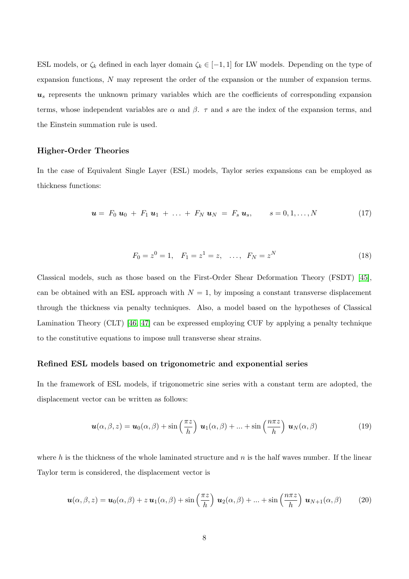ESL models, or  $\zeta_k$  defined in each layer domain  $\zeta_k \in [-1,1]$  for LW models. Depending on the type of expansion functions, N may represent the order of the expansion or the number of expansion terms.  $u<sub>s</sub>$  represents the unknown primary variables which are the coefficients of corresponding expansion terms, whose independent variables are  $\alpha$  and  $\beta$ .  $\tau$  and s are the index of the expansion terms, and the Einstein summation rule is used.

#### Higher-Order Theories

In the case of Equivalent Single Layer (ESL) models, Taylor series expansions can be employed as thickness functions:

$$
\mathbf{u} = F_0 \, \mathbf{u}_0 + F_1 \, \mathbf{u}_1 + \ldots + F_N \, \mathbf{u}_N = F_s \, \mathbf{u}_s, \qquad s = 0, 1, \ldots, N \tag{17}
$$

$$
F_0 = z^0 = 1, \quad F_1 = z^1 = z, \quad \dots, \quad F_N = z^N \tag{18}
$$

Classical models, such as those based on the First-Order Shear Deformation Theory (FSDT) [45], can be obtained with an ESL approach with  $N = 1$ , by imposing a constant transverse displacement through the thickness via penalty techniques. Also, a model based on the hypotheses of Classical Lamination Theory (CLT) [46, 47] can be expressed employing CUF by applying a penalty technique to the constitutive equations to impose null transverse shear strains.

#### Refined ESL models based on trigonometric and exponential series

In the framework of ESL models, if trigonometric sine series with a constant term are adopted, the displacement vector can be written as follows:

$$
\mathbf{u}(\alpha,\beta,z) = \mathbf{u}_0(\alpha,\beta) + \sin\left(\frac{\pi z}{h}\right) \mathbf{u}_1(\alpha,\beta) + \dots + \sin\left(\frac{n\pi z}{h}\right) \mathbf{u}_N(\alpha,\beta)
$$
(19)

where h is the thickness of the whole laminated structure and  $n$  is the half waves number. If the linear Taylor term is considered, the displacement vector is

$$
\mathbf{u}(\alpha,\beta,z) = \mathbf{u}_0(\alpha,\beta) + z \mathbf{u}_1(\alpha,\beta) + \sin\left(\frac{\pi z}{h}\right) \mathbf{u}_2(\alpha,\beta) + \dots + \sin\left(\frac{n\pi z}{h}\right) \mathbf{u}_{N+1}(\alpha,\beta) \tag{20}
$$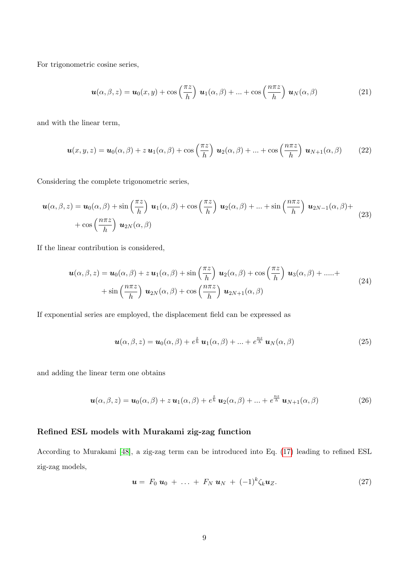For trigonometric cosine series,

$$
\mathbf{u}(\alpha,\beta,z) = \mathbf{u}_0(x,y) + \cos\left(\frac{\pi z}{h}\right) \mathbf{u}_1(\alpha,\beta) + \dots + \cos\left(\frac{n\pi z}{h}\right) \mathbf{u}_N(\alpha,\beta)
$$
(21)

and with the linear term,

$$
\mathbf{u}(x,y,z) = \mathbf{u}_0(\alpha,\beta) + z \mathbf{u}_1(\alpha,\beta) + \cos\left(\frac{\pi z}{h}\right) \mathbf{u}_2(\alpha,\beta) + \ldots + \cos\left(\frac{n\pi z}{h}\right) \mathbf{u}_{N+1}(\alpha,\beta) \tag{22}
$$

Considering the complete trigonometric series,

$$
\mathbf{u}(\alpha,\beta,z) = \mathbf{u}_0(\alpha,\beta) + \sin\left(\frac{\pi z}{h}\right) \mathbf{u}_1(\alpha,\beta) + \cos\left(\frac{\pi z}{h}\right) \mathbf{u}_2(\alpha,\beta) + \dots + \sin\left(\frac{n\pi z}{h}\right) \mathbf{u}_{2N-1}(\alpha,\beta) + \cos\left(\frac{n\pi z}{h}\right) \mathbf{u}_{2N}(\alpha,\beta)
$$
\n(23)

If the linear contribution is considered,

$$
\mathbf{u}(\alpha,\beta,z) = \mathbf{u}_0(\alpha,\beta) + z \mathbf{u}_1(\alpha,\beta) + \sin\left(\frac{\pi z}{h}\right) \mathbf{u}_2(\alpha,\beta) + \cos\left(\frac{\pi z}{h}\right) \mathbf{u}_3(\alpha,\beta) + \dots + \sin\left(\frac{n\pi z}{h}\right) \mathbf{u}_{2N}(\alpha,\beta) + \cos\left(\frac{n\pi z}{h}\right) \mathbf{u}_{2N+1}(\alpha,\beta)
$$
\n(24)

If exponential series are employed, the displacement field can be expressed as

$$
\mathbf{u}(\alpha,\beta,z) = \mathbf{u}_0(\alpha,\beta) + e^{\frac{z}{h}} \mathbf{u}_1(\alpha,\beta) + \ldots + e^{\frac{nz}{h}} \mathbf{u}_N(\alpha,\beta)
$$
(25)

and adding the linear term one obtains

$$
\mathbf{u}(\alpha,\beta,z) = \mathbf{u}_0(\alpha,\beta) + z \mathbf{u}_1(\alpha,\beta) + e^{\frac{z}{h}} \mathbf{u}_2(\alpha,\beta) + \ldots + e^{\frac{nz}{h}} \mathbf{u}_{N+1}(\alpha,\beta)
$$
(26)

#### Refined ESL models with Murakami zig-zag function

According to Murakami [48], a zig-zag term can be introduced into Eq. (17) leading to refined ESL zig-zag models,

$$
\mathbf{u} = F_0 \, \mathbf{u}_0 \, + \, \ldots \, + \, F_N \, \mathbf{u}_N \, + \, (-1)^k \zeta_k \mathbf{u}_Z. \tag{27}
$$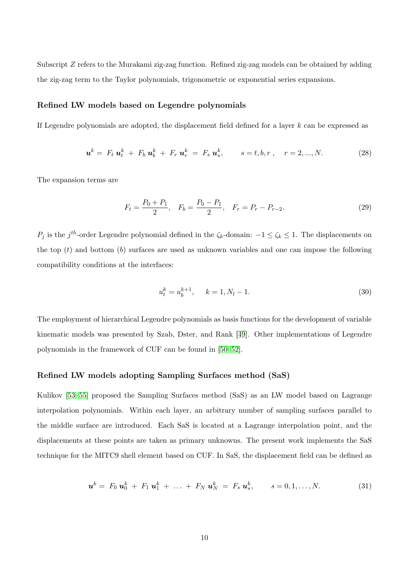Subscript Z refers to the Murakami zig-zag function. Refined zig-zag models can be obtained by adding the zig-zag term to the Taylor polynomials, trigonometric or exponential series expansions.

#### Refined LW models based on Legendre polynomials

If Legendre polynomials are adopted, the displacement field defined for a layer k can be expressed as

$$
\mathbf{u}^{k} = F_{t} \mathbf{u}_{t}^{k} + F_{b} \mathbf{u}_{b}^{k} + F_{r} \mathbf{u}_{r}^{k} = F_{s} \mathbf{u}_{s}^{k}, \qquad s = t, b, r, \quad r = 2, ..., N. \tag{28}
$$

The expansion terms are

$$
F_t = \frac{P_0 + P_1}{2}, \quad F_b = \frac{P_0 - P_1}{2}, \quad F_r = P_r - P_{r-2}.
$$
\n(29)

 $P_j$  is the j<sup>th</sup>-order Legendre polynomial defined in the  $\zeta_k$ -domain:  $-1 \leq \zeta_k \leq 1$ . The displacements on the top  $(t)$  and bottom  $(b)$  surfaces are used as unknown variables and one can impose the following compatibility conditions at the interfaces:

$$
u_t^k = u_b^{k+1}, \quad k = 1, N_l - 1. \tag{30}
$$

The employment of hierarchical Legendre polynomials as basis functions for the development of variable kinematic models was presented by Szab, Dster, and Rank [49]. Other implementations of Legendre polynomials in the framework of CUF can be found in [50–52].

#### Refined LW models adopting Sampling Surfaces method (SaS)

Kulikov [53–55] proposed the Sampling Surfaces method (SaS) as an LW model based on Lagrange interpolation polynomials. Within each layer, an arbitrary number of sampling surfaces parallel to the middle surface are introduced. Each SaS is located at a Lagrange interpolation point, and the displacements at these points are taken as primary unknowns. The present work implements the SaS technique for the MITC9 shell element based on CUF. In SaS, the displacement field can be defined as

$$
\mathbf{u}^{k} = F_0 \mathbf{u}_0^{k} + F_1 \mathbf{u}_1^{k} + \ldots + F_N \mathbf{u}_N^{k} = F_s \mathbf{u}_s^{k}, \qquad s = 0, 1, \ldots, N. \tag{31}
$$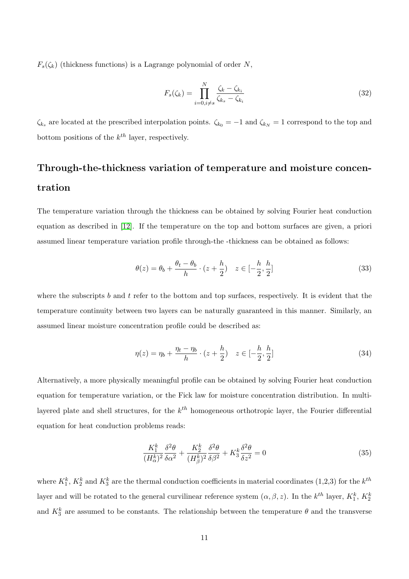$F_s(\zeta_k)$  (thickness functions) is a Lagrange polynomial of order N,

$$
F_s(\zeta_k) = \prod_{i=0, i \neq s}^{N} \frac{\zeta_k - \zeta_{k_i}}{\zeta_{k_s} - \zeta_{k_i}}
$$
\n(32)

 $\zeta_{k_s}$  are located at the prescribed interpolation points.  $\zeta_{k_0} = -1$  and  $\zeta_{k_N} = 1$  correspond to the top and bottom positions of the  $k^{th}$  layer, respectively.

# Through-the-thickness variation of temperature and moisture concentration

The temperature variation through the thickness can be obtained by solving Fourier heat conduction equation as described in [12]. If the temperature on the top and bottom surfaces are given, a priori assumed linear temperature variation profile through-the -thickness can be obtained as follows:

$$
\theta(z) = \theta_b + \frac{\theta_t - \theta_b}{h} \cdot (z + \frac{h}{2}) \quad z \in [-\frac{h}{2}, \frac{h}{2}] \tag{33}
$$

where the subscripts b and t refer to the bottom and top surfaces, respectively. It is evident that the temperature continuity between two layers can be naturally guaranteed in this manner. Similarly, an assumed linear moisture concentration profile could be described as:

$$
\eta(z) = \eta_b + \frac{\eta_t - \eta_b}{h} \cdot (z + \frac{h}{2}) \quad z \in [-\frac{h}{2}, \frac{h}{2}] \tag{34}
$$

Alternatively, a more physically meaningful profile can be obtained by solving Fourier heat conduction equation for temperature variation, or the Fick law for moisture concentration distribution. In multilayered plate and shell structures, for the  $k^{th}$  homogeneous orthotropic layer, the Fourier differential equation for heat conduction problems reads:

$$
\frac{K_1^k}{(H_\alpha^k)^2} \frac{\delta^2 \theta}{\delta \alpha^2} + \frac{K_2^k}{(H_\beta^k)^2} \frac{\delta^2 \theta}{\delta \beta^2} + K_3^k \frac{\delta^2 \theta}{\delta z^2} = 0
$$
\n(35)

where  $K_1^k$ ,  $K_2^k$  and  $K_3^k$  are the thermal conduction coefficients in material coordinates (1,2,3) for the  $k^{th}$ layer and will be rotated to the general curvilinear reference system  $(\alpha, \beta, z)$ . In the  $k^{th}$  layer,  $K_1^k$ ,  $K_2^k$ and  $K_3^k$  are assumed to be constants. The relationship between the temperature  $\theta$  and the transverse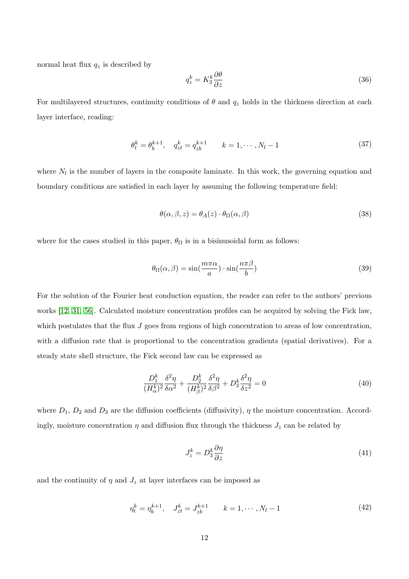normal heat flux  $q_z$  is described by

$$
q_z^k = K_3^k \frac{\partial \theta}{\partial z} \tag{36}
$$

For multilayered structures, continuity conditions of  $\theta$  and  $q_z$  holds in the thickness direction at each layer interface, reading:

$$
\theta_t^k = \theta_b^{k+1}, \quad q_{zt}^k = q_{zb}^{k+1} \qquad k = 1, \cdots, N_l - 1 \tag{37}
$$

where  $N_l$  is the number of layers in the composite laminate. In this work, the governing equation and boundary conditions are satisfied in each layer by assuming the following temperature field:

$$
\theta(\alpha, \beta, z) = \theta_A(z) \cdot \theta_\Omega(\alpha, \beta) \tag{38}
$$

where for the cases studied in this paper,  $\theta_{\Omega}$  is in a bisinusoidal form as follows:

$$
\theta_{\Omega}(\alpha,\beta) = \sin(\frac{m\pi\alpha}{a}) \cdot \sin(\frac{n\pi\beta}{b})
$$
\n(39)

For the solution of the Fourier heat conduction equation, the reader can refer to the authors' previous works [12, 31, 56]. Calculated moisture concentration profiles can be acquired by solving the Fick law, which postulates that the flux J goes from regions of high concentration to areas of low concentration, with a diffusion rate that is proportional to the concentration gradients (spatial derivatives). For a steady state shell structure, the Fick second law can be expressed as

$$
\frac{D_1^k}{(H_\alpha^k)^2} \frac{\delta^2 \eta}{\delta \alpha^2} + \frac{D_2^k}{(H_\beta^k)^2} \frac{\delta^2 \eta}{\delta \beta^2} + D_3^k \frac{\delta^2 \eta}{\delta z^2} = 0 \tag{40}
$$

where  $D_1$ ,  $D_2$  and  $D_3$  are the diffusion coefficients (diffusivity),  $\eta$  the moisture concentration. Accordingly, moisture concentration  $\eta$  and diffusion flux through the thickness  $J_z$  can be related by

$$
J_z^k = D_3^k \frac{\partial \eta}{\partial z} \tag{41}
$$

and the continuity of  $\eta$  and  $J_z$  at layer interfaces can be imposed as

$$
\eta_t^k = \eta_b^{k+1}, \quad J_{zt}^k = J_{zb}^{k+1} \qquad k = 1, \cdots, N_l - 1 \tag{42}
$$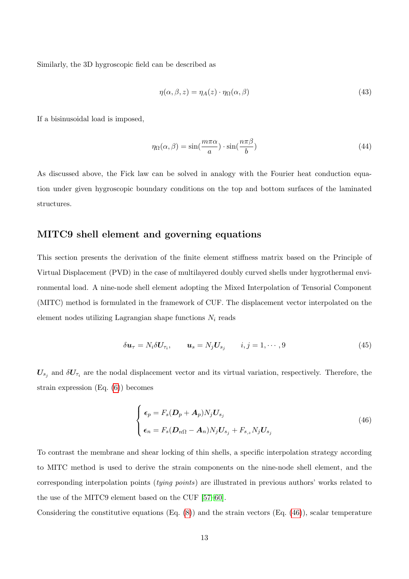Similarly, the 3D hygroscopic field can be described as

$$
\eta(\alpha, \beta, z) = \eta_A(z) \cdot \eta_\Omega(\alpha, \beta) \tag{43}
$$

If a bisinusoidal load is imposed,

$$
\eta_{\Omega}(\alpha,\beta) = \sin(\frac{m\pi\alpha}{a}) \cdot \sin(\frac{n\pi\beta}{b})
$$
\n(44)

As discussed above, the Fick law can be solved in analogy with the Fourier heat conduction equation under given hygroscopic boundary conditions on the top and bottom surfaces of the laminated structures.

### MITC9 shell element and governing equations

This section presents the derivation of the finite element stiffness matrix based on the Principle of Virtual Displacement (PVD) in the case of multilayered doubly curved shells under hygrothermal environmental load. A nine-node shell element adopting the Mixed Interpolation of Tensorial Component (MITC) method is formulated in the framework of CUF. The displacement vector interpolated on the element nodes utilizing Lagrangian shape functions  $N_i$  reads

$$
\delta \mathbf{u}_{\tau} = N_i \delta \mathbf{U}_{\tau_i}, \qquad \mathbf{u}_s = N_j \mathbf{U}_{s_j} \qquad i, j = 1, \cdots, 9 \tag{45}
$$

 $U_{s_j}$  and  $\delta U_{\tau_i}$  are the nodal displacement vector and its virtual variation, respectively. Therefore, the strain expression (Eq. (6)) becomes

$$
\begin{cases} \epsilon_p = F_s (D_p + A_p) N_j U_{s_j} \\ \epsilon_n = F_s (D_{n\Omega} - A_n) N_j U_{s_j} + F_{s,z} N_j U_{s_j} \end{cases}
$$
\n(46)

To contrast the membrane and shear locking of thin shells, a specific interpolation strategy according to MITC method is used to derive the strain components on the nine-node shell element, and the corresponding interpolation points (tying points) are illustrated in previous authors' works related to the use of the MITC9 element based on the CUF [57–60].

Considering the constitutive equations  $(Eq. (8))$  and the strain vectors  $(Eq. (46))$ , scalar temperature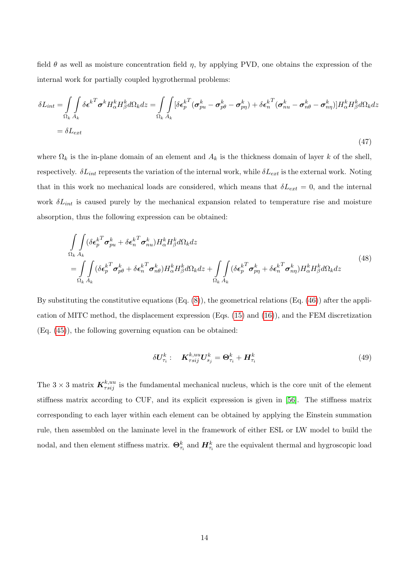field  $\theta$  as well as moisture concentration field  $\eta$ , by applying PVD, one obtains the expression of the internal work for partially coupled hygrothermal problems:

$$
\delta L_{int} = \int_{\Omega_k} \int_{A_k} \delta \epsilon^{k} \sigma^k H_{\alpha}^k H_{\beta}^k d\Omega_k dz = \int_{\Omega_k} \int_{A_k} [\delta \epsilon_p^{k} (\sigma_{pu}^k - \sigma_{p\theta}^k - \sigma_{pp}^k) + \delta \epsilon_n^{k} (\sigma_{nu}^k - \sigma_{n\theta}^k - \sigma_{n\eta}^k)] H_{\alpha}^k H_{\beta}^k d\Omega_k dz
$$
  
=  $\delta L_{ext}$  (47)

where  $\Omega_k$  is the in-plane domain of an element and  $A_k$  is the thickness domain of layer k of the shell, respectively.  $\delta L_{int}$  represents the variation of the internal work, while  $\delta L_{ext}$  is the external work. Noting that in this work no mechanical loads are considered, which means that  $\delta L_{ext} = 0$ , and the internal work  $\delta L_{int}$  is caused purely by the mechanical expansion related to temperature rise and moisture absorption, thus the following expression can be obtained:

$$
\int_{\Omega_k} \int_{A_k} (\delta \epsilon_p^{kT} \sigma_{pu}^k + \delta \epsilon_n^{kT} \sigma_{nu}^k) H_{\alpha}^k H_{\beta}^k d\Omega_k dz
$$
\n
$$
= \int_{\Omega_k} \int_{A_k} (\delta \epsilon_p^{kT} \sigma_{p\theta}^k + \delta \epsilon_n^{kT} \sigma_{n\theta}^k) H_{\alpha}^k H_{\beta}^k d\Omega_k dz + \int_{\Omega_k} \int_{A_k} (\delta \epsilon_p^{kT} \sigma_{p\eta}^k + \delta \epsilon_n^{kT} \sigma_{n\eta}^k) H_{\alpha}^k H_{\beta}^k d\Omega_k dz
$$
\n(48)

By substituting the constitutive equations  $(Eq. (8))$ , the geometrical relations  $(Eq. (46))$  after the application of MITC method, the displacement expression (Eqs. (15) and (16)), and the FEM discretization (Eq. (45)), the following governing equation can be obtained:

$$
\delta \mathbf{U}_{\tau_i}^k: \quad \mathbf{K}_{\tau s i j}^{k, uu} \mathbf{U}_{s_j}^k = \mathbf{\Theta}_{\tau_i}^k + \mathbf{H}_{\tau_i}^k \tag{49}
$$

The  $3 \times 3$  matrix  $\mathbf{K}_{\tau s i j}^{k,uu}$  is the fundamental mechanical nucleus, which is the core unit of the element stiffness matrix according to CUF, and its explicit expression is given in [56]. The stiffness matrix corresponding to each layer within each element can be obtained by applying the Einstein summation rule, then assembled on the laminate level in the framework of either ESL or LW model to build the nodal, and then element stiffness matrix.  $\Theta_{\tau_i}^k$  and  $H_{\tau_i}^k$  are the equivalent thermal and hygroscopic load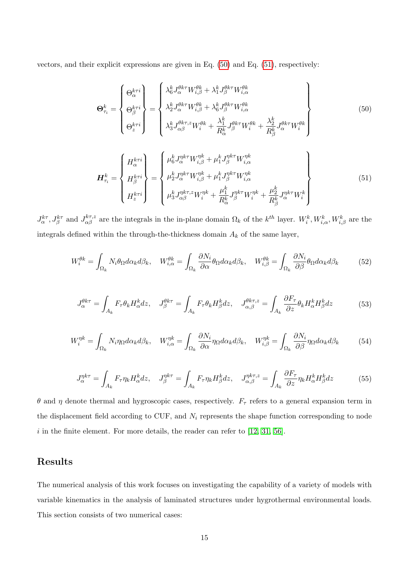vectors, and their explicit expressions are given in Eq. (50) and Eq. (51), respectively:

$$
\Theta_{\tau_i}^k = \begin{Bmatrix} \Theta_{\alpha}^{k\tau i} \\ \Theta_{\beta}^{k\tau i} \\ \Theta_{z}^{k\tau i} \end{Bmatrix} = \begin{Bmatrix} \lambda_6^k J_{\alpha}^{\theta k\tau} W_{i,\beta}^{\theta k} + \lambda_1^k J_{\beta}^{\theta k\tau} W_{i,\alpha}^{\theta k} \\ \lambda_2^k J_{\alpha}^{\theta k\tau} W_{i,\beta}^{\theta k} + \lambda_6^k J_{\beta}^{\theta k\tau} W_{i,\alpha}^{\theta k} \\ \lambda_3^k J_{\alpha\beta}^{\theta k\tau, z} W_{i}^{\theta k} + \frac{\lambda_1^k}{R_{\alpha}^k} J_{\beta}^{\theta k\tau} W_{i}^{\theta k} + \frac{\lambda_2^k}{R_{\beta}^k} J_{\alpha}^{\theta k\tau} W_{i}^{\theta k} \end{Bmatrix}
$$
(50)

$$
\boldsymbol{H}_{\tau_{i}}^{k} = \begin{Bmatrix} H_{\alpha}^{k\tau i} \\ H_{\beta}^{k\tau i} \\ H_{z}^{k\tau i} \end{Bmatrix} = \begin{Bmatrix} \mu_{6}^{k} J_{\alpha}^{\eta k\tau} W_{i,\beta}^{\eta k} + \mu_{1}^{k} J_{\beta}^{\eta k\tau} W_{i,\alpha}^{\eta k} \\ \mu_{2}^{k} J_{\alpha}^{\eta k\tau} W_{i,\beta}^{\eta k} + \mu_{1}^{k} J_{\beta}^{\eta k\tau} W_{i,\alpha}^{\eta k} \\ \mu_{3}^{k} J_{\alpha\beta}^{\eta k\tau,z} W_{i}^{\eta k} + \frac{\mu_{1}^{k}}{R_{\alpha}^{k}} J_{\beta}^{\eta k\tau} W_{i}^{\eta k} + \frac{\mu_{2}^{k}}{R_{\beta}^{k}} J_{\alpha}^{\eta k\tau} W_{i}^{k} \end{Bmatrix}
$$
\n(51)

 $J_{\alpha}^{k\tau}$ ,  $J_{\beta}^{k\tau}$  and  $J_{\alpha\beta}^{k\tau,z}$  are the integrals in the in-plane domain  $\Omega_k$  of the  $k^{th}$  layer.  $W_i^k$ ,  $W_{i,\alpha}^k$ ,  $W_{i,\beta}^k$  are the integrals defined within the through-the-thickness domain  $A_k$  of the same layer,

$$
W_i^{\theta k} = \int_{\Omega_k} N_i \theta_{\Omega} d\alpha_k d\beta_k, \quad W_{i,\alpha}^{\theta k} = \int_{\Omega_k} \frac{\partial N_i}{\partial \alpha} \theta_{\Omega} d\alpha_k d\beta_k, \quad W_{i,\beta}^{\theta k} = \int_{\Omega_k} \frac{\partial N_i}{\partial \beta} \theta_{\Omega} d\alpha_k d\beta_k \tag{52}
$$

$$
J_{\alpha}^{\theta k \tau} = \int_{A_k} F_{\tau} \theta_k H_{\alpha}^k dz, \quad J_{\beta}^{\theta k \tau} = \int_{A_k} F_{\tau} \theta_k H_{\beta}^k dz, \quad J_{\alpha, \beta}^{\theta k \tau, z} = \int_{A_k} \frac{\partial F_{\tau}}{\partial z} \theta_k H_{\alpha}^k H_{\beta}^k dz \tag{53}
$$

$$
W_i^{\eta k} = \int_{\Omega_k} N_i \eta_{\Omega} d\alpha_k d\beta_k, \quad W_{i,\alpha}^{\eta k} = \int_{\Omega_k} \frac{\partial N_i}{\partial \alpha} \eta_{\Omega} d\alpha_k d\beta_k, \quad W_{i,\beta}^{\eta k} = \int_{\Omega_k} \frac{\partial N_i}{\partial \beta} \eta_{\Omega} d\alpha_k d\beta_k \tag{54}
$$

$$
J_{\alpha}^{\eta k \tau} = \int_{A_k} F_{\tau} \eta_k H_{\alpha}^k dz, \quad J_{\beta}^{\eta k \tau} = \int_{A_k} F_{\tau} \eta_k H_{\beta}^k dz, \quad J_{\alpha, \beta}^{\eta k \tau, z} = \int_{A_k} \frac{\partial F_{\tau}}{\partial z} \eta_k H_{\alpha}^k H_{\beta}^k dz \tag{55}
$$

θ and η denote thermal and hygroscopic cases, respectively.  $F<sub>τ</sub>$  refers to a general expansion term in the displacement field according to CUF, and  $N_i$  represents the shape function corresponding to node  $i$  in the finite element. For more details, the reader can refer to [12, 31, 56].

## Results

J

The numerical analysis of this work focuses on investigating the capability of a variety of models with variable kinematics in the analysis of laminated structures under hygrothermal environmental loads. This section consists of two numerical cases: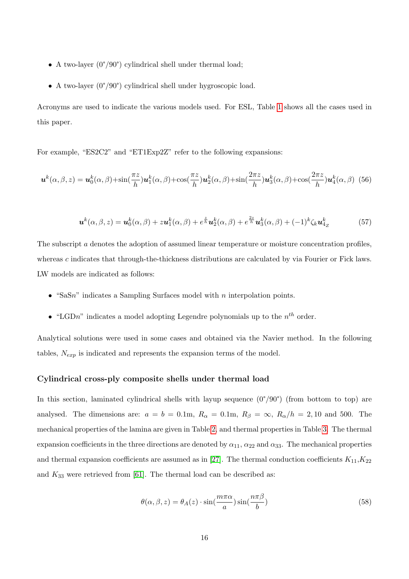- A two-layer  $(0^{\circ}/90^{\circ})$  cylindrical shell under thermal load;
- A two-layer (0°/90°) cylindrical shell under hygroscopic load.

Acronyms are used to indicate the various models used. For ESL, Table 1 shows all the cases used in this paper.

For example, "ES2C2" and "ET1Exp2Z" refer to the following expansions:

$$
\boldsymbol{u}^{k}(\alpha,\beta,z) = \boldsymbol{u}_{0}^{k}(\alpha,\beta) + \sin(\frac{\pi z}{h})\boldsymbol{u}_{1}^{k}(\alpha,\beta) + \cos(\frac{\pi z}{h})\boldsymbol{u}_{2}^{k}(\alpha,\beta) + \sin(\frac{2\pi z}{h})\boldsymbol{u}_{3}^{k}(\alpha,\beta) + \cos(\frac{2\pi z}{h})\boldsymbol{u}_{4}^{k}(\alpha,\beta)
$$
(56)

$$
\boldsymbol{u}^k(\alpha,\beta,z) = \boldsymbol{u}_0^k(\alpha,\beta) + z\boldsymbol{u}_1^k(\alpha,\beta) + e^{\frac{z}{h}}\boldsymbol{u}_2^k(\alpha,\beta) + e^{\frac{2z}{h}}\boldsymbol{u}_3^k(\alpha,\beta) + (-1)^k \zeta_k \boldsymbol{u}_4^k
$$
(57)

The subscript a denotes the adoption of assumed linear temperature or moisture concentration profiles. whereas c indicates that through-the-thickness distributions are calculated by via Fourier or Fick laws. LW models are indicated as follows:

- "SaSn" indicates a Sampling Surfaces model with  $n$  interpolation points.
- "LGDn" indicates a model adopting Legendre polynomials up to the  $n^{th}$  order.

Analytical solutions were used in some cases and obtained via the Navier method. In the following tables,  $N_{exp}$  is indicated and represents the expansion terms of the model.

#### Cylindrical cross-ply composite shells under thermal load

In this section, laminated cylindrical shells with layup sequence  $(0^{\circ}/90^{\circ})$  (from bottom to top) are analysed. The dimensions are:  $a = b = 0.1$ m,  $R_{\alpha} = 0.1$ m,  $R_{\beta} = \infty$ ,  $R_{\alpha}/h = 2, 10$  and 500. The mechanical properties of the lamina are given in Table 2, and thermal properties in Table 3. The thermal expansion coefficients in the three directions are denoted by  $\alpha_{11}$ ,  $\alpha_{22}$  and  $\alpha_{33}$ . The mechanical properties and thermal expansion coefficients are assumed as in [27]. The thermal conduction coefficients  $K_{11}, K_{22}$ and  $K_{33}$  were retrieved from [61]. The thermal load can be described as:

$$
\theta(\alpha, \beta, z) = \theta_A(z) \cdot \sin(\frac{m\pi\alpha}{a})\sin(\frac{n\pi\beta}{b})
$$
\n(58)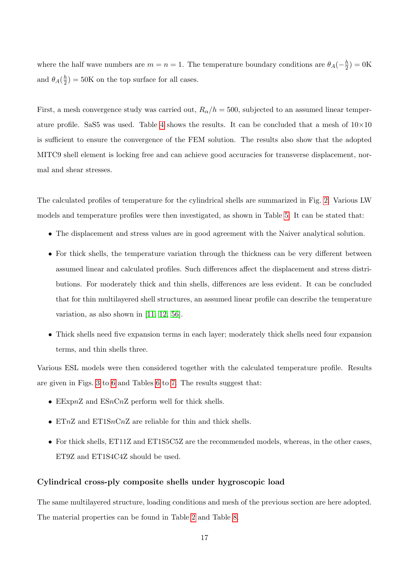where the half wave numbers are  $m = n = 1$ . The temperature boundary conditions are  $\theta_A(-\frac{h}{2})$  $(\frac{h}{2}) = 0$ K and  $\theta_A(\frac{h}{2})$  $\frac{h}{2}$ ) = 50K on the top surface for all cases.

First, a mesh convergence study was carried out,  $R_{\alpha}/h = 500$ , subjected to an assumed linear temperature profile. SaS5 was used. Table 4 shows the results. It can be concluded that a mesh of  $10\times10$ is sufficient to ensure the convergence of the FEM solution. The results also show that the adopted MITC9 shell element is locking free and can achieve good accuracies for transverse displacement, normal and shear stresses.

The calculated profiles of temperature for the cylindrical shells are summarized in Fig. 2. Various LW models and temperature profiles were then investigated, as shown in Table 5. It can be stated that:

- The displacement and stress values are in good agreement with the Naiver analytical solution.
- For thick shells, the temperature variation through the thickness can be very different between assumed linear and calculated profiles. Such differences affect the displacement and stress distributions. For moderately thick and thin shells, differences are less evident. It can be concluded that for thin multilayered shell structures, an assumed linear profile can describe the temperature variation, as also shown in [11, 12, 56].
- Thick shells need five expansion terms in each layer; moderately thick shells need four expansion terms, and thin shells three.

Various ESL models were then considered together with the calculated temperature profile. Results are given in Figs. 3 to 6 and Tables 6 to 7. The results suggest that:

- EExpnZ and ESnCnZ perform well for thick shells.
- ETnZ and ET1SnCnZ are reliable for thin and thick shells.
- For thick shells, ET11Z and ET1S5C5Z are the recommended models, whereas, in the other cases, ET9Z and ET1S4C4Z should be used.

#### Cylindrical cross-ply composite shells under hygroscopic load

The same multilayered structure, loading conditions and mesh of the previous section are here adopted. The material properties can be found in Table 2 and Table 8.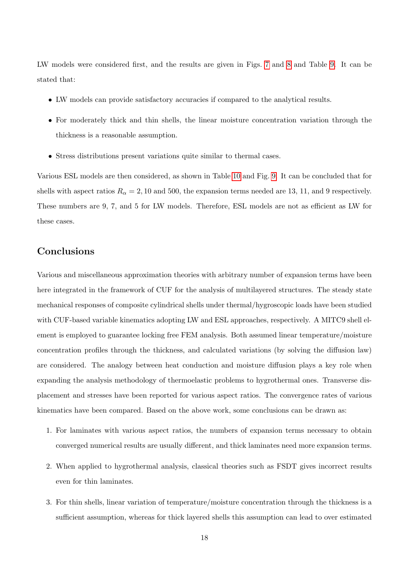LW models were considered first, and the results are given in Figs. 7 and 8 and Table 9. It can be stated that:

- LW models can provide satisfactory accuracies if compared to the analytical results.
- For moderately thick and thin shells, the linear moisture concentration variation through the thickness is a reasonable assumption.
- Stress distributions present variations quite similar to thermal cases.

Various ESL models are then considered, as shown in Table 10 and Fig. 9. It can be concluded that for shells with aspect ratios  $R_{\alpha} = 2, 10$  and 500, the expansion terms needed are 13, 11, and 9 respectively. These numbers are 9, 7, and 5 for LW models. Therefore, ESL models are not as efficient as LW for these cases.

## Conclusions

Various and miscellaneous approximation theories with arbitrary number of expansion terms have been here integrated in the framework of CUF for the analysis of multilayered structures. The steady state mechanical responses of composite cylindrical shells under thermal/hygroscopic loads have been studied with CUF-based variable kinematics adopting LW and ESL approaches, respectively. A MITC9 shell element is employed to guarantee locking free FEM analysis. Both assumed linear temperature/moisture concentration profiles through the thickness, and calculated variations (by solving the diffusion law) are considered. The analogy between heat conduction and moisture diffusion plays a key role when expanding the analysis methodology of thermoelastic problems to hygrothermal ones. Transverse displacement and stresses have been reported for various aspect ratios. The convergence rates of various kinematics have been compared. Based on the above work, some conclusions can be drawn as:

- 1. For laminates with various aspect ratios, the numbers of expansion terms necessary to obtain converged numerical results are usually different, and thick laminates need more expansion terms.
- 2. When applied to hygrothermal analysis, classical theories such as FSDT gives incorrect results even for thin laminates.
- 3. For thin shells, linear variation of temperature/moisture concentration through the thickness is a sufficient assumption, whereas for thick layered shells this assumption can lead to over estimated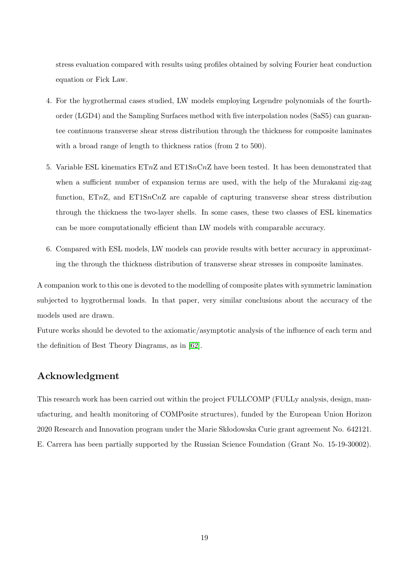stress evaluation compared with results using profiles obtained by solving Fourier heat conduction equation or Fick Law.

- 4. For the hygrothermal cases studied, LW models employing Legendre polynomials of the fourthorder (LGD4) and the Sampling Surfaces method with five interpolation nodes (SaS5) can guarantee continuous transverse shear stress distribution through the thickness for composite laminates with a broad range of length to thickness ratios (from 2 to 500).
- 5. Variable ESL kinematics  $ETnZ$  and  $ET1SnCnZ$  have been tested. It has been demonstrated that when a sufficient number of expansion terms are used, with the help of the Murakami zig-zag function, ETnZ, and ET1SnCnZ are capable of capturing transverse shear stress distribution through the thickness the two-layer shells. In some cases, these two classes of ESL kinematics can be more computationally efficient than LW models with comparable accuracy.
- 6. Compared with ESL models, LW models can provide results with better accuracy in approximating the through the thickness distribution of transverse shear stresses in composite laminates.

A companion work to this one is devoted to the modelling of composite plates with symmetric lamination subjected to hygrothermal loads. In that paper, very similar conclusions about the accuracy of the models used are drawn.

Future works should be devoted to the axiomatic/asymptotic analysis of the influence of each term and the definition of Best Theory Diagrams, as in [62].

## Acknowledgment

This research work has been carried out within the project FULLCOMP (FULLy analysis, design, manufacturing, and health monitoring of COMPosite structures), funded by the European Union Horizon 2020 Research and Innovation program under the Marie Sk bodowska Curie grant agreement No. 642121. E. Carrera has been partially supported by the Russian Science Foundation (Grant No. 15-19-30002).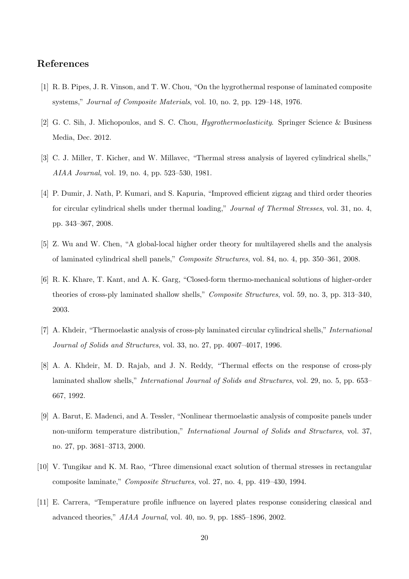## References

- [1] R. B. Pipes, J. R. Vinson, and T. W. Chou, "On the hygrothermal response of laminated composite systems," Journal of Composite Materials, vol. 10, no. 2, pp. 129–148, 1976.
- [2] G. C. Sih, J. Michopoulos, and S. C. Chou, Hygrothermoelasticity. Springer Science & Business Media, Dec. 2012.
- [3] C. J. Miller, T. Kicher, and W. Millavec, "Thermal stress analysis of layered cylindrical shells," AIAA Journal, vol. 19, no. 4, pp. 523–530, 1981.
- [4] P. Dumir, J. Nath, P. Kumari, and S. Kapuria, "Improved efficient zigzag and third order theories for circular cylindrical shells under thermal loading," Journal of Thermal Stresses, vol. 31, no. 4, pp. 343–367, 2008.
- [5] Z. Wu and W. Chen, "A global-local higher order theory for multilayered shells and the analysis of laminated cylindrical shell panels," Composite Structures, vol. 84, no. 4, pp. 350–361, 2008.
- [6] R. K. Khare, T. Kant, and A. K. Garg, "Closed-form thermo-mechanical solutions of higher-order theories of cross-ply laminated shallow shells," Composite Structures, vol. 59, no. 3, pp. 313–340, 2003.
- [7] A. Khdeir, "Thermoelastic analysis of cross-ply laminated circular cylindrical shells," International Journal of Solids and Structures, vol. 33, no. 27, pp. 4007–4017, 1996.
- [8] A. A. Khdeir, M. D. Rajab, and J. N. Reddy, "Thermal effects on the response of cross-ply laminated shallow shells," International Journal of Solids and Structures, vol. 29, no. 5, pp. 653– 667, 1992.
- [9] A. Barut, E. Madenci, and A. Tessler, "Nonlinear thermoelastic analysis of composite panels under non-uniform temperature distribution," International Journal of Solids and Structures, vol. 37, no. 27, pp. 3681–3713, 2000.
- [10] V. Tungikar and K. M. Rao, "Three dimensional exact solution of thermal stresses in rectangular composite laminate," Composite Structures, vol. 27, no. 4, pp. 419–430, 1994.
- [11] E. Carrera, "Temperature profile influence on layered plates response considering classical and advanced theories," AIAA Journal, vol. 40, no. 9, pp. 1885–1896, 2002.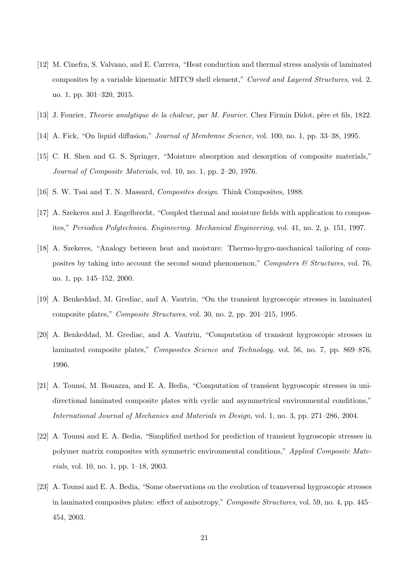- [12] M. Cinefra, S. Valvano, and E. Carrera, "Heat conduction and thermal stress analysis of laminated composites by a variable kinematic MITC9 shell element," Curved and Layered Structures, vol. 2, no. 1, pp. 301–320, 2015.
- [13] J. Fourier, *Theorie analytique de la chaleur, par M. Fourier*. Chez Firmin Didot, père et fils, 1822.
- [14] A. Fick, "On liquid diffusion," Journal of Membrane Science, vol. 100, no. 1, pp. 33–38, 1995.
- [15] C. H. Shen and G. S. Springer, "Moisture absorption and desorption of composite materials," Journal of Composite Materials, vol. 10, no. 1, pp. 2–20, 1976.
- [16] S. W. Tsai and T. N. Massard, Composites design. Think Composites, 1988.
- [17] A. Szekeres and J. Engelbrecht, "Coupled thermal and moisture fields with application to composites," Periodica Polytechnica. Engineering. Mechanical Engineering, vol. 41, no. 2, p. 151, 1997.
- [18] A. Szekeres, "Analogy between heat and moisture: Thermo-hygro-mechanical tailoring of composites by taking into account the second sound phenomenon," Computers  $\mathcal C$  Structures, vol. 76, no. 1, pp. 145–152, 2000.
- [19] A. Benkeddad, M. Grediac, and A. Vautrin, "On the transient hygroscopic stresses in laminated composite plates," Composite Structures, vol. 30, no. 2, pp. 201–215, 1995.
- [20] A. Benkeddad, M. Grediac, and A. Vautrin, "Computation of transient hygroscopic stresses in laminated composite plates," Composites Science and Technology, vol. 56, no. 7, pp. 869–876, 1996.
- [21] A. Tounsi, M. Bouazza, and E. A. Bedia, "Computation of transient hygroscopic stresses in unidirectional laminated composite plates with cyclic and asymmetrical environmental conditions," International Journal of Mechanics and Materials in Design, vol. 1, no. 3, pp. 271–286, 2004.
- [22] A. Tounsi and E. A. Bedia, "Simplified method for prediction of transient hygroscopic stresses in polymer matrix composites with symmetric environmental conditions," Applied Composite Materials, vol. 10, no. 1, pp. 1–18, 2003.
- [23] A. Tounsi and E. A. Bedia, "Some observations on the evolution of transversal hygroscopic stresses in laminated composites plates: effect of anisotropy," Composite Structures, vol. 59, no. 4, pp. 445– 454, 2003.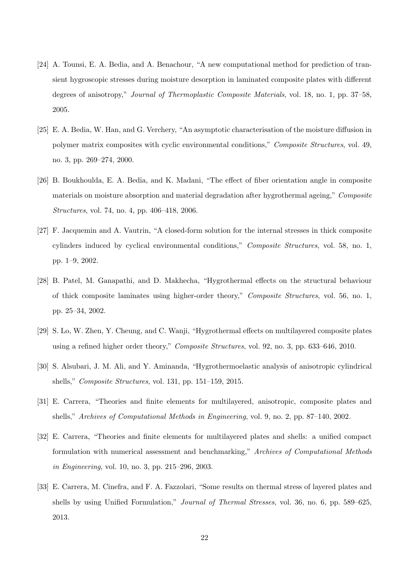- [24] A. Tounsi, E. A. Bedia, and A. Benachour, "A new computational method for prediction of transient hygroscopic stresses during moisture desorption in laminated composite plates with different degrees of anisotropy," Journal of Thermoplastic Composite Materials, vol. 18, no. 1, pp. 37–58, 2005.
- [25] E. A. Bedia, W. Han, and G. Verchery, "An asymptotic characterisation of the moisture diffusion in polymer matrix composites with cyclic environmental conditions," Composite Structures, vol. 49, no. 3, pp. 269–274, 2000.
- [26] B. Boukhoulda, E. A. Bedia, and K. Madani, "The effect of fiber orientation angle in composite materials on moisture absorption and material degradation after hygrothermal ageing," Composite Structures, vol. 74, no. 4, pp. 406–418, 2006.
- [27] F. Jacquemin and A. Vautrin, "A closed-form solution for the internal stresses in thick composite cylinders induced by cyclical environmental conditions," Composite Structures, vol. 58, no. 1, pp. 1–9, 2002.
- [28] B. Patel, M. Ganapathi, and D. Makhecha, "Hygrothermal effects on the structural behaviour of thick composite laminates using higher-order theory," Composite Structures, vol. 56, no. 1, pp. 25–34, 2002.
- [29] S. Lo, W. Zhen, Y. Cheung, and C. Wanji, "Hygrothermal effects on multilayered composite plates using a refined higher order theory," Composite Structures, vol. 92, no. 3, pp. 633–646, 2010.
- [30] S. Alsubari, J. M. Ali, and Y. Aminanda, "Hygrothermoelastic analysis of anisotropic cylindrical shells," Composite Structures, vol. 131, pp. 151–159, 2015.
- [31] E. Carrera, "Theories and finite elements for multilayered, anisotropic, composite plates and shells," Archives of Computational Methods in Engineering, vol. 9, no. 2, pp. 87–140, 2002.
- [32] E. Carrera, "Theories and finite elements for multilayered plates and shells: a unified compact formulation with numerical assessment and benchmarking," Archives of Computational Methods in Engineering, vol. 10, no. 3, pp. 215–296, 2003.
- [33] E. Carrera, M. Cinefra, and F. A. Fazzolari, "Some results on thermal stress of layered plates and shells by using Unified Formulation," Journal of Thermal Stresses, vol. 36, no. 6, pp. 589–625, 2013.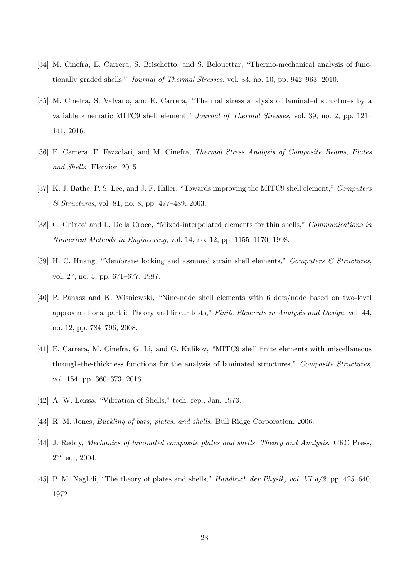- [34] M. Cinefra, E. Carrera, S. Brischetto, and S. Belouettar, "Thermo-mechanical analysis of functionally graded shells," Journal of Thermal Stresses, vol. 33, no. 10, pp. 942–963, 2010.
- [35] M. Cinefra, S. Valvano, and E. Carrera, "Thermal stress analysis of laminated structures by a variable kinematic MITC9 shell element," Journal of Thermal Stresses, vol. 39, no. 2, pp. 121– 141, 2016.
- [36] E. Carrera, F. Fazzolari, and M. Cinefra, Thermal Stress Analysis of Composite Beams, Plates and Shells. Elsevier, 2015.
- [37] K. J. Bathe, P. S. Lee, and J. F. Hiller, "Towards improving the MITC9 shell element," Computers & Structures, vol. 81, no. 8, pp. 477–489, 2003.
- [38] C. Chinosi and L. Della Croce, "Mixed-interpolated elements for thin shells," *Communications in* Numerical Methods in Engineering, vol. 14, no. 12, pp. 1155–1170, 1998.
- [39] H. C. Huang, "Membrane locking and assumed strain shell elements," Computers & Structures, vol. 27, no. 5, pp. 671–677, 1987.
- [40] P. Panasz and K. Wisniewski, "Nine-node shell elements with 6 dofs/node based on two-level approximations. part i: Theory and linear tests," Finite Elements in Analysis and Design, vol. 44, no. 12, pp. 784–796, 2008.
- [41] E. Carrera, M. Cinefra, G. Li, and G. Kulikov, "MITC9 shell finite elements with miscellaneous through-the-thickness functions for the analysis of laminated structures," Composite Structures, vol. 154, pp. 360–373, 2016.
- [42] A. W. Leissa, "Vibration of Shells," tech. rep., Jan. 1973.
- [43] R. M. Jones, Buckling of bars, plates, and shells. Bull Ridge Corporation, 2006.
- [44] J. Reddy, Mechanics of laminated composite plates and shells. Theory and Analysis. CRC Press,  $2^{nd}$  ed., 2004.
- [45] P. M. Naghdi, "The theory of plates and shells," Handbuch der Physik, vol. VI a/2, pp. 425–640, 1972.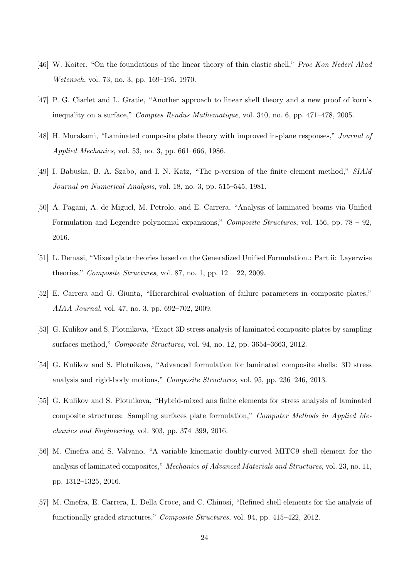- [46] W. Koiter, "On the foundations of the linear theory of thin elastic shell," *Proc Kon Nederl Akad* Wetensch, vol. 73, no. 3, pp. 169–195, 1970.
- [47] P. G. Ciarlet and L. Gratie, "Another approach to linear shell theory and a new proof of korn's inequality on a surface," Comptes Rendus Mathematique, vol. 340, no. 6, pp. 471–478, 2005.
- [48] H. Murakami, "Laminated composite plate theory with improved in-plane responses," Journal of Applied Mechanics, vol. 53, no. 3, pp. 661–666, 1986.
- [49] I. Babuska, B. A. Szabo, and I. N. Katz, "The p-version of the finite element method," SIAM Journal on Numerical Analysis, vol. 18, no. 3, pp. 515–545, 1981.
- [50] A. Pagani, A. de Miguel, M. Petrolo, and E. Carrera, "Analysis of laminated beams via Unified Formulation and Legendre polynomial expansions," Composite Structures, vol. 156, pp. 78 – 92, 2016.
- [51] L. Demasi, "Mixed plate theories based on the Generalized Unified Formulation.: Part ii: Layerwise theories," Composite Structures, vol. 87, no. 1, pp.  $12 - 22$ , 2009.
- [52] E. Carrera and G. Giunta, "Hierarchical evaluation of failure parameters in composite plates," AIAA Journal, vol. 47, no. 3, pp. 692–702, 2009.
- [53] G. Kulikov and S. Plotnikova, "Exact 3D stress analysis of laminated composite plates by sampling surfaces method," Composite Structures, vol. 94, no. 12, pp. 3654–3663, 2012.
- [54] G. Kulikov and S. Plotnikova, "Advanced formulation for laminated composite shells: 3D stress analysis and rigid-body motions," Composite Structures, vol. 95, pp. 236–246, 2013.
- [55] G. Kulikov and S. Plotnikova, "Hybrid-mixed ans finite elements for stress analysis of laminated composite structures: Sampling surfaces plate formulation," Computer Methods in Applied Mechanics and Engineering, vol. 303, pp. 374–399, 2016.
- [56] M. Cinefra and S. Valvano, "A variable kinematic doubly-curved MITC9 shell element for the analysis of laminated composites," Mechanics of Advanced Materials and Structures, vol. 23, no. 11, pp. 1312–1325, 2016.
- [57] M. Cinefra, E. Carrera, L. Della Croce, and C. Chinosi, "Refined shell elements for the analysis of functionally graded structures," Composite Structures, vol. 94, pp. 415–422, 2012.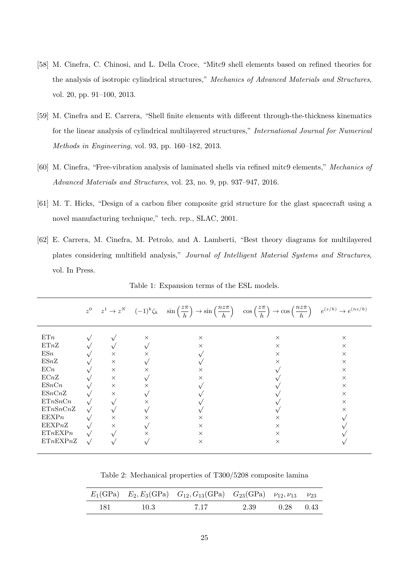- [58] M. Cinefra, C. Chinosi, and L. Della Croce, "Mitc9 shell elements based on refined theories for the analysis of isotropic cylindrical structures," Mechanics of Advanced Materials and Structures, vol. 20, pp. 91–100, 2013.
- [59] M. Cinefra and E. Carrera, "Shell finite elements with different through-the-thickness kinematics for the linear analysis of cylindrical multilayered structures," International Journal for Numerical Methods in Engineering, vol. 93, pp. 160–182, 2013.
- [60] M. Cinefra, "Free-vibration analysis of laminated shells via refined mitc9 elements," Mechanics of Advanced Materials and Structures, vol. 23, no. 9, pp. 937–947, 2016.
- [61] M. T. Hicks, "Design of a carbon fiber composite grid structure for the glast spacecraft using a novel manufacturing technique," tech. rep., SLAC, 2001.
- [62] E. Carrera, M. Cinefra, M. Petrolo, and A. Lamberti, "Best theory diagrams for multilayered plates considering multifield analysis," Journal of Intelligent Material Systems and Structures, vol. In Press.

|          |          |          |          | $z^0$ $z^1 \to z^N$ $(-1)^k \zeta_k$ $\sin\left(\frac{z\pi}{h}\right) \to \sin\left(\frac{n z\pi}{h}\right)$ $\cos\left(\frac{z\pi}{h}\right) \to \cos\left(\frac{n z\pi}{h}\right)$ | $e^{(z/h)} \rightarrow e^{(nz/h)}$ |
|----------|----------|----------|----------|--------------------------------------------------------------------------------------------------------------------------------------------------------------------------------------|------------------------------------|
| ETn      |          | $\times$ | $\times$ | $\times$                                                                                                                                                                             | $\times$                           |
| ETnZ     |          |          | $\times$ | $\times$                                                                                                                                                                             | $\times$                           |
| ESn      | $\times$ | $\times$ |          | $\times$                                                                                                                                                                             | $\times$                           |
| ESnZ     | $\times$ |          |          | $\times$                                                                                                                                                                             | $\times$                           |
| ECn      | $\times$ | $\times$ | $\times$ |                                                                                                                                                                                      | $\times$                           |
| ECnZ     | $\times$ |          | $\times$ |                                                                                                                                                                                      | $\times$                           |
| ESnCn    | $\times$ | $\times$ |          |                                                                                                                                                                                      | $\times$                           |
| ESnCnZ   | $\times$ |          |          |                                                                                                                                                                                      | $\times$                           |
| ETnSnCn  |          | $\times$ |          |                                                                                                                                                                                      | $\times$                           |
| ETnSnCnZ |          |          |          |                                                                                                                                                                                      | $\times$                           |
| EEXPn    | $\times$ | $\times$ | $\times$ | X                                                                                                                                                                                    |                                    |
| EEXPnZ   | $\times$ |          | $\times$ | $\times$                                                                                                                                                                             |                                    |
| ETnEXPn  |          | $\times$ | $\times$ | $\times$                                                                                                                                                                             |                                    |
| ETnEXPnZ |          |          | $\times$ | $\times$                                                                                                                                                                             |                                    |

Table 1: Expansion terms of the ESL models.

Table 2: Mechanical properties of T300/5208 composite lamina

|       |      | $E_1(\text{GPa})$ $E_2, E_3(\text{GPa})$ $G_{12}, G_{13}(\text{GPa})$ $G_{23}(\text{GPa})$ $\nu_{12}, \nu_{13}$ $\nu_{23}$ |      |             |  |
|-------|------|----------------------------------------------------------------------------------------------------------------------------|------|-------------|--|
| - 181 | 10.3 | 7.17                                                                                                                       | 2.39 | $0.28$ 0.43 |  |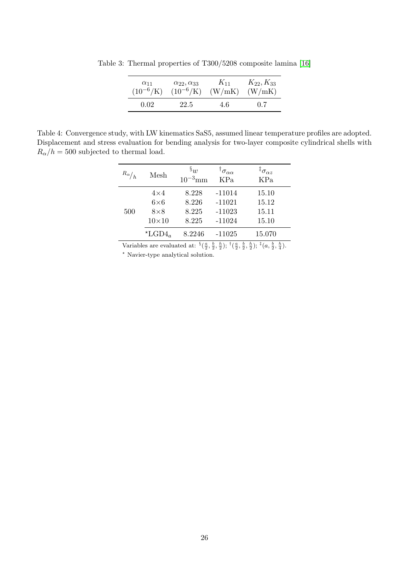| $\alpha_{11}$ | $\alpha_{22}, \alpha_{33}$ | $K_{11}$ | $K_{22}, K_{33}$ |
|---------------|----------------------------|----------|------------------|
| $(10^{-6}/K)$ | $(10^{-6}/K)$              | (W/mK)   | (W/mK)           |
| 0.02          | 22.5                       | 4.6      | 0.7              |

Table 3: Thermal properties of T300/5208 composite lamina [16]

Table 4: Convergence study, with LW kinematics SaS5, assumed linear temperature profiles are adopted. Displacement and stress evaluation for bending analysis for two-layer composite cylindrical shells with  $R_{\alpha}/h = 500$  subjected to thermal load.

| $R_{\alpha}/h$ | Mesh                                                    | $\S_{1}$<br>$10^{-3}$ mm         | $^\dagger \sigma_{\alpha\alpha}$<br>KPa      | ${}^{\ddagger} \sigma_{\alpha z}$<br>KPa |
|----------------|---------------------------------------------------------|----------------------------------|----------------------------------------------|------------------------------------------|
| 500            | $4\times4$<br>$6\times 6$<br>$8\times8$<br>$10\times10$ | 8.228<br>8.226<br>8.225<br>8.225 | $-11014$<br>$-11021$<br>$-11023$<br>$-11024$ | 15.10<br>15.12<br>15.11<br>15.10         |
|                | $\star$ LGD4 <sub>a</sub>                               | 8.2246                           | $-11025$                                     | 15.070                                   |

Variables are evaluated at:  $\frac{8}{3}(\frac{a}{2}, \frac{b}{2}, \frac{b}{2}); \frac{1}{3}(\frac{a}{2}, \frac{b}{2}, \frac{b}{2}); \frac{1}{3}(\frac{a}{2}, \frac{b}{2}, \frac{b}{4}).$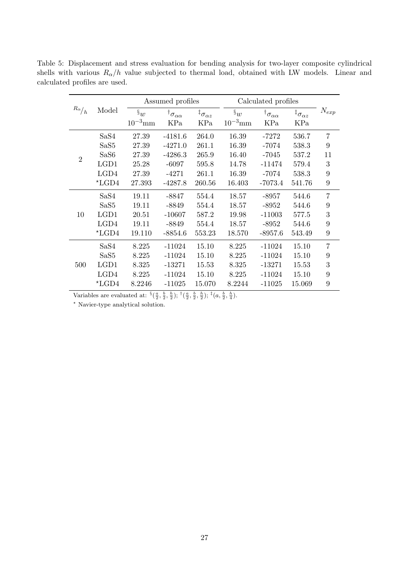|                |                         | Assumed profiles<br>Calculated profiles |                                 |                                  |              |                                 |                                |                |
|----------------|-------------------------|-----------------------------------------|---------------------------------|----------------------------------|--------------|---------------------------------|--------------------------------|----------------|
| $R_\alpha/_h$  | Model                   | $\S_w$                                  | $^\dagger\sigma_{\alpha\alpha}$ | ${}^{\ddagger}\sigma_{\alpha z}$ | $\S_w$       | $^\dagger\sigma_{\alpha\alpha}$ | ${}^\ddagger\sigma_{\alpha z}$ | $N_{exp}$      |
|                |                         | $10^{-3}$ mm                            | KPa                             | KPa                              | $10^{-3}$ mm | KPa                             | KPa                            |                |
|                | SaS4                    | 27.39                                   | $-4181.6$                       | 264.0                            | 16.39        | -7272                           | 536.7                          | $\overline{7}$ |
|                | SaS <sub>5</sub>        | 27.39                                   | $-4271.0$                       | 261.1                            | 16.39        | $-7074$                         | 538.3                          | 9              |
| $\overline{2}$ | SaS6                    | 27.39                                   | $-4286.3$                       | 265.9                            | 16.40        | $-7045$                         | 537.2                          | 11             |
|                | LGD1                    | 25.28                                   | $-6097$                         | 595.8                            | 14.78        | $-11474$                        | 579.4                          | 3              |
|                | LGD4                    | 27.39                                   | $-4271$                         | 261.1                            | 16.39        | $-7074$                         | 538.3                          | 9              |
|                | $*LGD4$                 | 27.393                                  | $-4287.8$                       | 260.56                           | 16.403       | $-7073.4$                       | 541.76                         | 9              |
|                | SaS4                    | 19.11                                   | -8847                           | 554.4                            | 18.57        | $-8957$                         | 544.6                          | $\overline{7}$ |
|                | SaS <sub>5</sub>        | 19.11                                   | -8849                           | 554.4                            | 18.57        | $-8952$                         | 544.6                          | 9              |
| 10             | LGD1                    | 20.51                                   | $-10607$                        | 587.2                            | 19.98        | $-11003$                        | 577.5                          | 3              |
|                | LGD4                    | 19.11                                   | -8849                           | 554.4                            | 18.57        | $-8952$                         | 544.6                          | 9              |
|                | $*LGD4$                 | 19.110                                  | $-8854.6$                       | 553.23                           | 18.570       | $-8957.6$                       | 543.49                         | 9              |
|                | SaS4                    | 8.225                                   | $-11024$                        | 15.10                            | 8.225        | $-11024$                        | 15.10                          | $\overline{7}$ |
|                | SaS <sub>5</sub>        | 8.225                                   | $-11024$                        | 15.10                            | 8.225        | $-11024$                        | 15.10                          | 9              |
| 500            | LGD1                    | 8.325                                   | $-13271$                        | 15.53                            | 8.325        | $-13271$                        | 15.53                          | 3              |
|                | LGD4                    | 8.225                                   | $-11024$                        | 15.10                            | 8.225        | $-11024$                        | 15.10                          | 9              |
|                | $\mathrm{^{\star}LGD4}$ | 8.2246                                  | $-11025$                        | 15.070                           | 8.2244       | $-11025$                        | 15.069                         | 9              |

Table 5: Displacement and stress evaluation for bending analysis for two-layer composite cylindrical shells with various  $R_{\alpha}/h$  value subjected to thermal load, obtained with LW models. Linear and calculated profiles are used.

Variables are evaluated at:  $\frac{8}{3}(\frac{a}{2}, \frac{b}{2}, \frac{b}{2}); \pm(\frac{a}{2}, \frac{b}{2}, \frac{b}{2}); \pm(a, \frac{b}{2}, \frac{b}{4}).$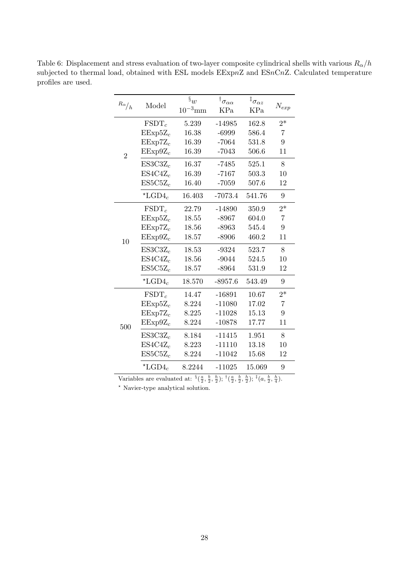Table 6: Displacement and stress evaluation of two-layer composite cylindrical shells with various  $R_{\alpha}/h$ subjected to thermal load, obtained with ESL models EExpnZ and ESnCnZ. Calculated temperature profiles are used.

| $R\alpha\big/ h$ | Model                     | $\mathcal{S}_{w}$<br>$10^{-3}$ mm | $^\dagger\sigma_{\alpha\alpha}$<br>KPa | ${}^{\ddagger}\sigma_{\alpha z}$<br>KPa | $N_{exp}$ |
|------------------|---------------------------|-----------------------------------|----------------------------------------|-----------------------------------------|-----------|
|                  | $FSDT_c$                  | 5.239                             | $-14985$                               | 162.8                                   | $2*$      |
|                  | $EExp5Z_c$                | 16.38                             | $-6999$                                | 586.4                                   | 7         |
|                  | $EExp7Z_c$                | 16.39                             | $-7064$                                | 531.8                                   | 9         |
| $\overline{2}$   | $EExp9Z_c$                | 16.39                             | $-7043$                                | 506.6                                   | 11        |
|                  | $ES3C3Z_c$                | 16.37                             | $-7485$                                | 525.1                                   | 8         |
|                  | $ES4C4Z_c$                | 16.39                             | $-7167$                                | 503.3                                   | 10        |
|                  | $ES5C5Z_c$                | 16.40                             | $-7059$                                | 507.6                                   | 12        |
|                  | $\star$ LGD4 <sub>c</sub> | 16.403                            | $-7073.4$                              | 541.76                                  | 9         |
|                  | $FSDT_c$                  | 22.79                             | $-14890$                               | 350.9                                   | $2*$      |
|                  | $EExp5Z_c$                | 18.55                             | $-8967$                                | 604.0                                   | 7         |
|                  | $EExp7Z_c$                | 18.56                             | $-8963$                                | 545.4                                   | 9         |
| 10               | $EExp9Z_c$                | 18.57                             | $-8906$                                | 460.2                                   | 11        |
|                  | $ES3C3Z_c$                | 18.53                             | $-9324$                                | 523.7                                   | 8         |
|                  | $ES4C4Z_c$                | 18.56                             | $-9044$                                | 524.5                                   | 10        |
|                  | $ES5C5Z_c$                | 18.57                             | $-8964$                                | 531.9                                   | 12        |
|                  | $\star$ LGD4 <sub>c</sub> | 18.570                            | $-8957.6$                              | 543.49                                  | 9         |
|                  | $FSDT_c$                  | 14.47                             | $-16891$                               | 10.67                                   | $2^*$     |
|                  | $EExp5Z_c$                | 8.224                             | $-11080$                               | 17.02                                   | 7         |
|                  | $EExp7Z_c$                | 8.225                             | $-11028$                               | 15.13                                   | 9         |
| 500              | $EExp9Z_c$                | 8.224                             | $-10878$                               | 17.77                                   | 11        |
|                  | $ES3C3Z_c$                | 8.184                             | $-11415$                               | 1.951                                   | 8         |
|                  | $ES4C4Z_c$                | 8.223                             | $-11110$                               | 13.18                                   | 10        |
|                  | $ES5C5Z_c$                | 8.224                             | $-11042$                               | 15.68                                   | 12        |
|                  | $^{\star}{\rm LGD4}_c$    | 8.2244                            | $-11025$                               | 15.069                                  | 9         |

Variables are evaluated at:  $\frac{8}{3}(\frac{a}{2}, \frac{b}{2}, \frac{b}{2}); \pm(\frac{a}{2}, \frac{b}{2}, \frac{b}{2}); \pm(a, \frac{b}{2}, \frac{b}{4}).$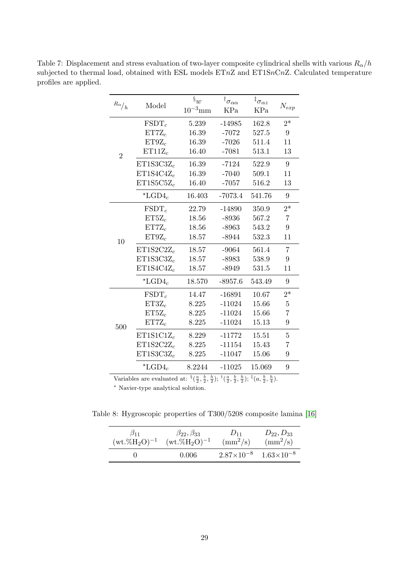| $R\alpha\big/ h$ | Model                     | $\mathbf{\S}_{w}$<br>$10^{-3}$ mm | $^\dagger\sigma_{\alpha\alpha}$<br>KPa | ${}^\ddagger\sigma_{\alpha z}$<br>KPa | $N_{exp}$      |
|------------------|---------------------------|-----------------------------------|----------------------------------------|---------------------------------------|----------------|
|                  | $\text{FSDT}_c$           | 5.239                             | $-14985$                               | 162.8                                 | $2*$           |
| $\overline{2}$   | $ET7Z_c$                  | 16.39                             | $-7072$                                | 527.5                                 | 9              |
|                  | $ET9Z_c$                  | 16.39                             | $-7026$                                | 511.4                                 | 11             |
|                  | $ET11Z_c$                 | 16.40                             | $-7081$                                | 513.1                                 | 13             |
|                  | $ET1S3C3Z_c$              | 16.39                             | $-7124$                                | 522.9                                 | 9              |
|                  | $ET1S4C4Z_c$              | 16.39                             | $-7040$                                | 509.1                                 | 11             |
|                  | $ET1S5C5Z_c$              | 16.40                             | $-7057$                                | 516.2                                 | 13             |
|                  | $\star$ LGD4 <sub>c</sub> | 16.403                            | $-7073.4$                              | 541.76                                | 9              |
|                  | $FSDT_c$                  | 22.79                             | $-14890$                               | 350.9                                 | $2*$           |
|                  | $ET5Z_c$                  | 18.56                             | $-8936$                                | 567.2                                 | 7              |
|                  | $ET7Z_c$                  | 18.56                             | $-8963$                                | 543.2                                 | 9              |
| 10               | $ET9Z_c$                  | 18.57                             | $-8944$                                | 532.3                                 | 11             |
|                  | $ET1S2C2Z_c$              | 18.57                             | $-9064$                                | 561.4                                 | $\overline{7}$ |
|                  | $ET1S3C3Z_c$              | 18.57                             | $-8983$                                | 538.9                                 | 9              |
|                  | $ET1S4C4Z_c$              | 18.57                             | $-8949$                                | 531.5                                 | 11             |
|                  | $\star$ LGD4 <sub>c</sub> | 18.570                            | $-8957.6$                              | 543.49                                | 9              |
|                  | $FSDT_c$                  | 14.47                             | $-16891$                               | 10.67                                 | $2*$           |
|                  | $ET3Z_c$                  | 8.225                             | $-11024$                               | 15.66                                 | $\overline{5}$ |
|                  | $ET5Z_c$                  | 8.225                             | $-11024$                               | 15.66                                 | 7              |
| 500              | $ET7Z_c$                  | 8.225                             | $-11024$                               | 15.13                                 | 9              |
|                  | $ET1S1C1Z_c$              | 8.229                             | $-11772$                               | 15.51                                 | 5              |
|                  | $ET1S2C2Z_c$              | 8.225                             | $-11154$                               | 15.43                                 | 7              |
|                  | $ET1S3C3Z_c$              | 8.225                             | $-11047$                               | 15.06                                 | 9              |
|                  | $\star$ LGD4 <sub>c</sub> | 8.2244                            | $-11025$                               | 15.069                                | 9              |

Table 7: Displacement and stress evaluation of two-layer composite cylindrical shells with various  $R_{\alpha}/h$ subjected to thermal load, obtained with ESL models  $ETnZ$  and  $ET1SnCnZ$ . Calculated temperature profiles are applied.

Variables are evaluated at:  $\frac{8}{3}(\frac{a}{2}, \frac{b}{2}, \frac{b}{2}); \frac{1}{3}(\frac{a}{2}, \frac{b}{2}, \frac{b}{2}); \frac{1}{3}(\frac{a}{2}, \frac{b}{2}, \frac{b}{4}).$ 

Table 8: Hygroscopic properties of T300/5208 composite lamina [16]

| $\beta_{11}$       | $\beta_{22}, \beta_{33}$ | $D_{11}$                                | $D_{22}, D_{33}$ |
|--------------------|--------------------------|-----------------------------------------|------------------|
| $(wt.\%H_2O)^{-1}$ | $(wt.\%H_2O)^{-1}$       | $\rm (mm^2/s)$                          | $\rm (mm^2/s)$   |
|                    | 0.006                    | $2.87\times10^{-8}$ $1.63\times10^{-8}$ |                  |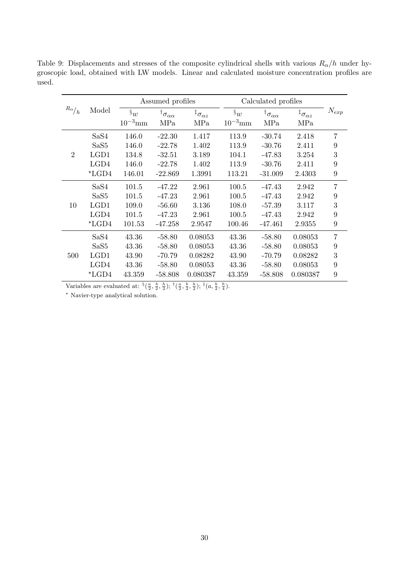Table 9: Displacements and stresses of the composite cylindrical shells with various  $R_{\alpha}/h$  under hygroscopic load, obtained with LW models. Linear and calculated moisture concentration profiles are used.

|                 |                  | Assumed profiles  |                                  |                                  | Calculated profiles |                                 |                                  |                |  |
|-----------------|------------------|-------------------|----------------------------------|----------------------------------|---------------------|---------------------------------|----------------------------------|----------------|--|
| $R_{\alpha}/_h$ | Model            | $\mathcal{S}_{w}$ | $^\dagger \sigma_{\alpha\alpha}$ | ${}^{\ddagger}\sigma_{\alpha z}$ | $\mathcal{S}_w$     | $^\dagger\sigma_{\alpha\alpha}$ | ${}^{\ddagger}\sigma_{\alpha z}$ | $N_{exp}$      |  |
|                 |                  | $10^{-3}$ mm      | MPa                              | MPa                              | $10^{-3}$ mm        | MPa                             | MPa                              |                |  |
|                 | SaS4             | 146.0             | $-22.30$                         | 1.417                            | 113.9               | $-30.74$                        | 2.418                            | 7              |  |
|                 | SaS <sub>5</sub> | 146.0             | $-22.78$                         | 1.402                            | 113.9               | $-30.76$                        | 2.411                            | 9              |  |
| $\overline{2}$  | LGD1             | 134.8             | $-32.51$                         | 3.189                            | 104.1               | $-47.83$                        | 3.254                            | 3              |  |
|                 | LGD4             | 146.0             | $-22.78$                         | 1.402                            | 113.9               | $-30.76$                        | 2.411                            | 9              |  |
|                 | $*_{\rm LGD4}$   | 146.01            | $-22.869$                        | 1.3991                           | 113.21              | $-31.009$                       | 2.4303                           | 9              |  |
|                 | SaS4             | 101.5             | $-47.22$                         | 2.961                            | 100.5               | $-47.43$                        | 2.942                            | $\overline{7}$ |  |
|                 | SaS <sub>5</sub> | 101.5             | $-47.23$                         | 2.961                            | 100.5               | $-47.43$                        | 2.942                            | 9              |  |
| 10              | LGD1             | 109.0             | $-56.60$                         | 3.136                            | 108.0               | $-57.39$                        | 3.117                            | 3              |  |
|                 | LGD4             | 101.5             | $-47.23$                         | 2.961                            | 100.5               | $-47.43$                        | 2.942                            | 9              |  |
|                 | $*LGD4$          | 101.53            | $-47.258$                        | 2.9547                           | 100.46              | $-47.461$                       | 2.9355                           | 9              |  |
|                 | SaS4             | 43.36             | $-58.80$                         | 0.08053                          | 43.36               | $-58.80$                        | 0.08053                          | $\overline{7}$ |  |
|                 | SaS <sub>5</sub> | 43.36             | $-58.80$                         | 0.08053                          | 43.36               | $-58.80$                        | 0.08053                          | 9              |  |
| 500             | LGD1             | 43.90             | $-70.79$                         | 0.08282                          | 43.90               | $-70.79$                        | 0.08282                          | 3              |  |
|                 | LGD4             | 43.36             | $-58.80$                         | 0.08053                          | 43.36               | $-58.80$                        | 0.08053                          | 9              |  |
|                 | $*_{\rm LGD4}$   | 43.359            | $-58.808$                        | 0.080387                         | 43.359              | $-58.808$                       | 0.080387                         | 9              |  |

Variables are evaluated at:  $\frac{8}{3}(\frac{a}{2}, \frac{b}{2}, \frac{b}{2}); \frac{1}{3}(\frac{a}{2}, \frac{b}{2}, \frac{b}{2}); \frac{1}{3}(a, \frac{b}{2}, \frac{b}{4}).$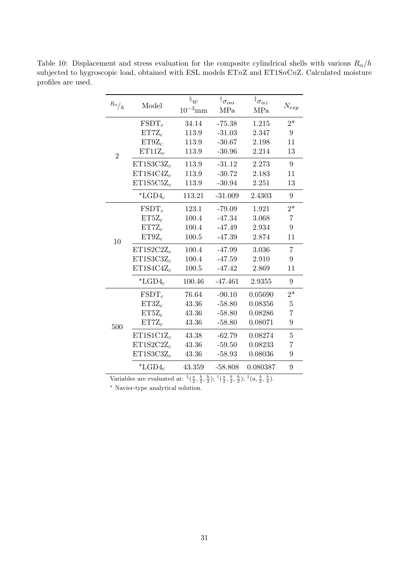| $R\alpha\big/ h$ | Model                     | $\mathbf{\S}_{w}$<br>$10^{-3}$ mm | $^\dagger\sigma_{\alpha\alpha}$<br>MPa | ${}^{\ddagger} \sigma_{\alpha z}$<br>MPa | $N_{exp}$      |
|------------------|---------------------------|-----------------------------------|----------------------------------------|------------------------------------------|----------------|
|                  | $FSDT_c$                  | 34.14                             | $-75.38$                               | 1.215                                    | $2*$           |
|                  | $ET7Z_c$                  | 113.9                             | $-31.03$                               | 2.347                                    | 9              |
|                  | $ET9Z_c$                  | 113.9                             | $-30.67$                               | 2.198                                    | 11             |
| $\overline{2}$   | $ET11Z_c$                 | 113.9                             | $-30.96$                               | 2.214                                    | 13             |
|                  | $ET1S3C3Z_c$              | 113.9                             | $-31.12$                               | 2.273                                    | 9              |
|                  | $ET1S4C4Z_c$              | 113.9                             | $-30.72$                               | 2.183                                    | 11             |
|                  | $ET1S5C5Z_c$              | 113.9                             | $-30.94$                               | 2.251                                    | 13             |
|                  | $\star$ LGD4 <sub>c</sub> | 113.21                            | $-31.009$                              | 2.4303                                   | 9              |
|                  | $FSDT_c$                  | 123.1                             | $-79.09$                               | 1.921                                    | $2*$           |
|                  | $ET5Z_c$                  | 100.4                             | $-47.34$                               | 3.068                                    | $\overline{7}$ |
|                  | $ET7Z_c$                  | 100.4                             | $-47.49$                               | 2.934                                    | 9              |
| 10               | $ET9Z_c$                  | 100.5                             | $-47.39$                               | 2.874                                    | 11             |
|                  | $ET1S2C2Z_c$              | 100.4                             | $-47.99$                               | 3.036                                    | 7              |
|                  | $ET1S3C3Z_c$              | 100.4                             | $-47.59$                               | 2.910                                    | 9              |
|                  | $ET1S4C4Z_c$              | 100.5                             | $-47.42$                               | 2.869                                    | 11             |
|                  | $\star$ LGD4 <sub>c</sub> | 100.46                            | $-47.461$                              | 2.9355                                   | 9              |
|                  | $FSDT_c$                  | 76.64                             | $-90.10$                               | 0.05690                                  | $2*$           |
|                  | $ET3Z_c$                  | 43.36                             | $-58.80$                               | 0.08356                                  | 5              |
|                  | $ET5Z_c$                  | 43.36                             | $-58.80$                               | 0.08286                                  | $\overline{7}$ |
| 500              | $ET7Z_c$                  | 43.36                             | $-58.80$                               | 0.08071                                  | 9              |
|                  | $ET1S1C1Z_c$              | 43.38                             | $-62.79$                               | 0.08274                                  | 5              |
|                  | $ET1S2C2Z_c$              | 43.36                             | $-59.50$                               | 0.08233                                  | 7              |
|                  | $ET1S3C3Z_c$              | 43.36                             | $-58.93$                               | 0.08036                                  | 9              |
|                  | $\mathrm{^{\star}LGD4}_c$ | 43.359                            | $-58.808$                              | 0.080387                                 | 9              |

Table 10: Displacement and stress evaluation for the composite cylindrical shells with various  $R_{\alpha}/h$ subjected to hygroscopic load, obtained with ESL models  $ETnZ$  and  $ET1SnCnZ$ . Calculated moisture profiles are used.

Variables are evaluated at:  $\frac{8}{3}(\frac{a}{2}, \frac{b}{2}, \frac{b}{2}); \frac{1}{3}(\frac{a}{2}, \frac{b}{2}, \frac{b}{2}); \frac{1}{3}(\frac{a}{2}, \frac{b}{2}, \frac{b}{4}).$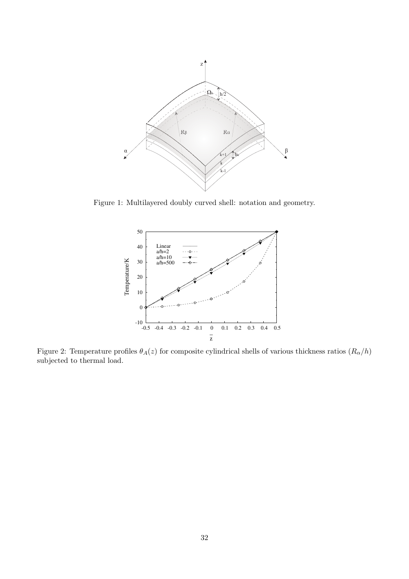

Figure 1: Multilayered doubly curved shell: notation and geometry.



Figure 2: Temperature profiles  $\theta_A(z)$  for composite cylindrical shells of various thickness ratios  $(R_\alpha/h)$ subjected to thermal load.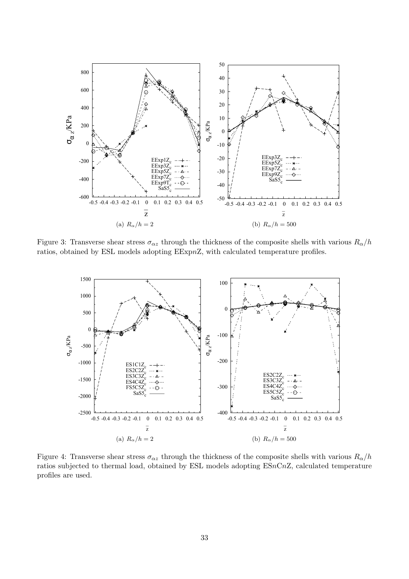

Figure 3: Transverse shear stress  $\sigma_{\alpha z}$  through the thickness of the composite shells with various  $R_{\alpha}/h$ ratios, obtained by ESL models adopting EExpnZ, with calculated temperature profiles.



Figure 4: Transverse shear stress  $\sigma_{\alpha z}$  through the thickness of the composite shells with various  $R_{\alpha}/h$ ratios subjected to thermal load, obtained by ESL models adopting ESnCnZ, calculated temperature profiles are used.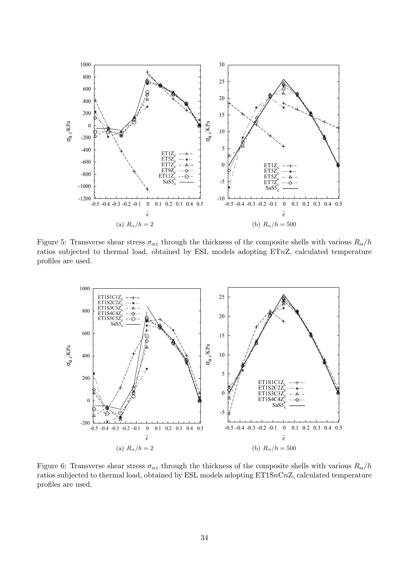

Figure 5: Transverse shear stress  $\sigma_{\alpha z}$  through the thickness of the composite shells with various  $R_{\alpha}/h$ ratios subjected to thermal load, obtained by ESL models adopting ETnZ, calculated temperature profiles are used.



Figure 6: Transverse shear stress  $\sigma_{\alpha z}$  through the thickness of the composite shells with various  $R_{\alpha}/h$ ratios subjected to thermal load, obtained by ESL models adopting ET1SnCnZ, calculated temperature profiles are used.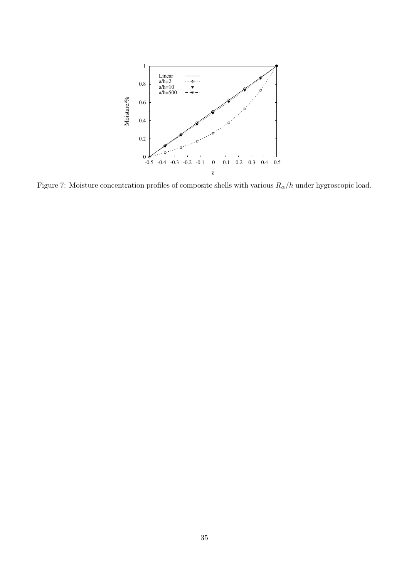

Figure 7: Moisture concentration profiles of composite shells with various  $R_{\alpha}/h$  under hygroscopic load.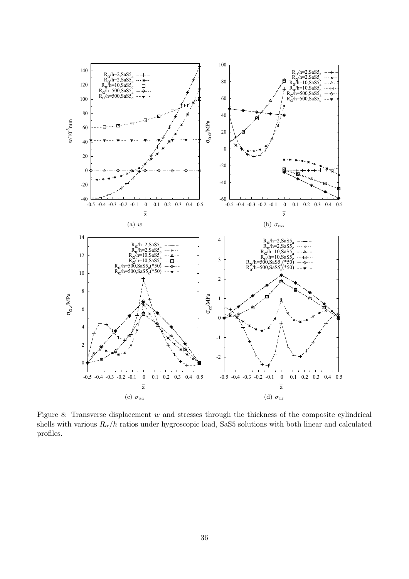

Figure 8: Transverse displacement  $w$  and stresses through the thickness of the composite cylindrical shells with various  $R_{\alpha}/h$  ratios under hygroscopic load, SaS5 solutions with both linear and calculated profiles.